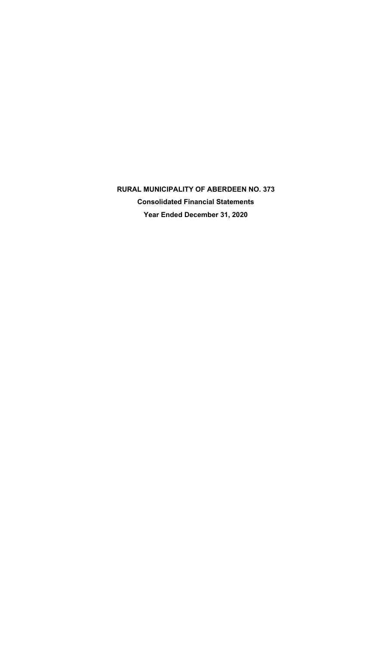**RURAL MUNICIPALITY OF ABERDEEN NO. 373 Consolidated Financial Statements Year Ended December 31, 2020**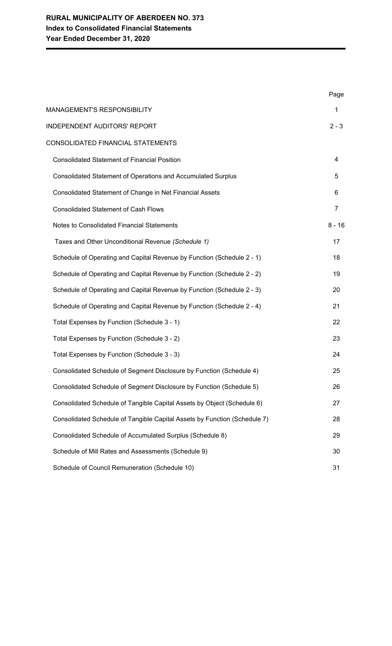|                                                                           | Page           |
|---------------------------------------------------------------------------|----------------|
| MANAGEMENT'S RESPONSIBILITY                                               | 1              |
| <b>INDEPENDENT AUDITORS' REPORT</b>                                       | $2 - 3$        |
| CONSOLIDATED FINANCIAL STATEMENTS                                         |                |
| <b>Consolidated Statement of Financial Position</b>                       | 4              |
| Consolidated Statement of Operations and Accumulated Surplus              | 5              |
| Consolidated Statement of Change in Net Financial Assets                  | 6              |
| <b>Consolidated Statement of Cash Flows</b>                               | $\overline{7}$ |
| Notes to Consolidated Financial Statements                                | $8 - 16$       |
| Taxes and Other Unconditional Revenue (Schedule 1)                        | 17             |
| Schedule of Operating and Capital Revenue by Function (Schedule 2 - 1)    | 18             |
| Schedule of Operating and Capital Revenue by Function (Schedule 2 - 2)    | 19             |
| Schedule of Operating and Capital Revenue by Function (Schedule 2 - 3)    | 20             |
| Schedule of Operating and Capital Revenue by Function (Schedule 2 - 4)    | 21             |
| Total Expenses by Function (Schedule 3 - 1)                               | 22             |
| Total Expenses by Function (Schedule 3 - 2)                               | 23             |
| Total Expenses by Function (Schedule 3 - 3)                               | 24             |
| Consolidated Schedule of Segment Disclosure by Function (Schedule 4)      | 25             |
| Consolidated Schedule of Segment Disclosure by Function (Schedule 5)      | 26             |
| Consolidated Schedule of Tangible Capital Assets by Object (Schedule 6)   | 27             |
| Consolidated Schedule of Tangible Capital Assets by Function (Schedule 7) | 28             |
| Consolidated Schedule of Accumulated Surplus (Schedule 8)                 | 29             |
| Schedule of Mill Rates and Assessments (Schedule 9)                       | 30             |
| Schedule of Council Remuneration (Schedule 10)                            | 31             |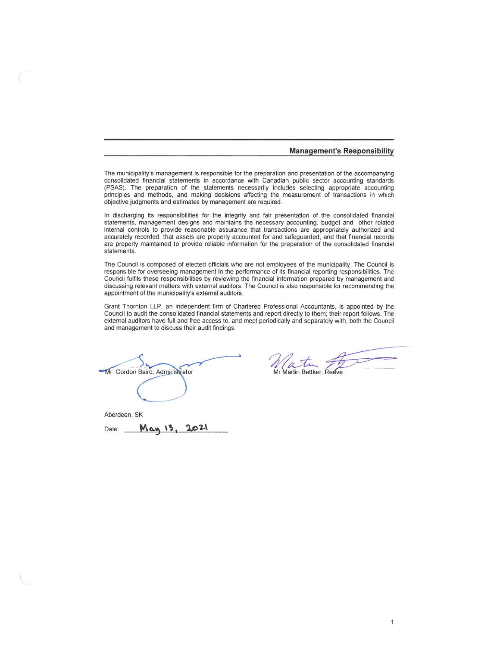#### **Management's Responsibility**

The municipality's management is responsible for the preparation and presentation of the accompanying consolidated financial statements in accordance with Canadian public sector accounting standards (PSAS). The preparation of the statements necessarily includes selecting appropriate accounting principles and methods, and making decisions affecting the measurement of transactions in which objective judgments and estimates by management are required.

In discharging its responsibilities for the integrity and fair presentation of the consolidated financial statements, management designs and maintains the necessary accounting, budget and other related internal controls to provide reasonable assurance that transactions are appropriately authorized and accurately recorded, that assets are properly accounted for and safeguarded, and that financial records are properly maintained to provide reliable information for the preparation of the consolidated financial statements.

The Council is composed of elected officials who are not employees of the municipality. The Council is responsible for overseeing management in the performance of its financial reporting responsibilities. The Council fulfils these responsibilities by reviewing the financial information prepared by management and discussing relevant matters with external auditors. The Council is also responsible for recommending the appointment of the municipality's external auditors.

Grant Thornton LLP, an independent firm of Chartered Professional Accountants, is appointed by the Council to audit the consolidated financial statements and report directly to them; their report follows. The external auditors have full and free access to, and meet periodically and separately with, both the Council and management to discuss their audit findings.

Mr. Gordon Baird, Administrator

Aberdeen, SK May 13,  $2021$ Date:

 $\mathbf{1}$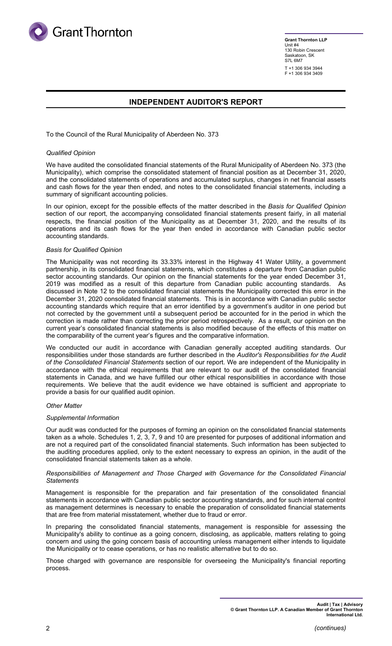

**Grant Thornton LLP** Unit #4 130 Robin Crescent Saskatoon, SK S7L 6M7 T +1 306 934 3944 F +1 306 934 3409

## **INDEPENDENT AUDITOR'S REPORT**

To the Council of the Rural Municipality of Aberdeen No. 373

### *Qualified Opinion*

We have audited the consolidated financial statements of the Rural Municipality of Aberdeen No. 373 (the Municipality), which comprise the consolidated statement of financial position as at December 31, 2020, and the consolidated statements of operations and accumulated surplus, changes in net financial assets and cash flows for the year then ended, and notes to the consolidated financial statements, including a summary of significant accounting policies.

In our opinion, except for the possible effects of the matter described in the *Basis for Qualified Opinion* section of our report, the accompanying consolidated financial statements present fairly, in all material respects, the financial position of the Municipality as at December 31, 2020, and the results of its operations and its cash flows for the year then ended in accordance with Canadian public sector accounting standards.

#### *Basis for Qualified Opinion*

The Municipality was not recording its 33.33% interest in the Highway 41 Water Utility, a government partnership, in its consolidated financial statements, which constitutes a departure from Canadian public sector accounting standards. Our opinion on the financial statements for the year ended December 31, 2019 was modified as a result of this departure from Canadian public accounting standards. As discussed in Note 12 to the consolidated financial statements the Municipality corrected this error in the December 31, 2020 consolidated financial statements. This is in accordance with Canadian public sector accounting standards which require that an error identified by a government's auditor in one period but not corrected by the government until a subsequent period be accounted for in the period in which the correction is made rather than correcting the prior period retrospectively. As a result, our opinion on the current year's consolidated financial statements is also modified because of the effects of this matter on the comparability of the current year's figures and the comparative information.

We conducted our audit in accordance with Canadian generally accepted auditing standards. Our responsibilities under those standards are further described in the *Auditor's Responsibilities for the Audit of the Consolidated Financial Statements* section of our report. We are independent of the Municipality in accordance with the ethical requirements that are relevant to our audit of the consolidated financial statements in Canada, and we have fulfilled our other ethical responsibilities in accordance with those requirements. We believe that the audit evidence we have obtained is sufficient and appropriate to provide a basis for our qualified audit opinion.

#### *Other Matter*

#### *Supplemental Information*

Our audit was conducted for the purposes of forming an opinion on the consolidated financial statements taken as a whole. Schedules 1, 2, 3, 7, 9 and 10 are presented for purposes of additional information and are not a required part of the consolidated financial statements. Such information has been subjected to the auditing procedures applied, only to the extent necessary to express an opinion, in the audit of the consolidated financial statements taken as a whole.

#### *Responsibilities of Management and Those Charged with Governance for the Consolidated Financial Statements*

Management is responsible for the preparation and fair presentation of the consolidated financial statements in accordance with Canadian public sector accounting standards, and for such internal control as management determines is necessary to enable the preparation of consolidated financial statements that are free from material misstatement, whether due to fraud or error.

In preparing the consolidated financial statements, management is responsible for assessing the Municipality's ability to continue as a going concern, disclosing, as applicable, matters relating to going concern and using the going concern basis of accounting unless management either intends to liquidate the Municipality or to cease operations, or has no realistic alternative but to do so.

Those charged with governance are responsible for overseeing the Municipality's financial reporting process.

**Audit | Tax | Advisory © Grant Thornton LLP. A Canadian Member of Grant Thornton International Ltd.**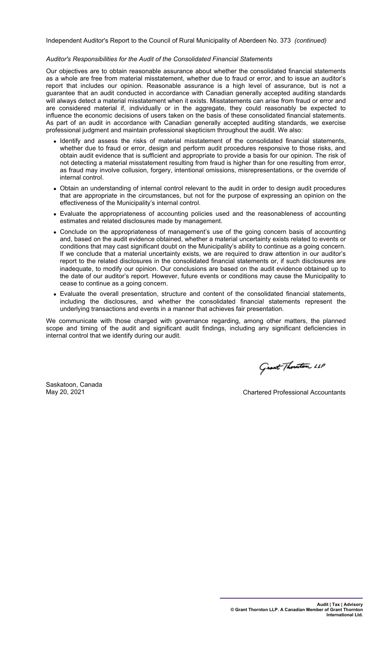Independent Auditor's Report to the Council of Rural Municipality of Aberdeen No. 373 *(continued)*

#### *Auditor's Responsibilities for the Audit of the Consolidated Financial Statements*

Our objectives are to obtain reasonable assurance about whether the consolidated financial statements as a whole are free from material misstatement, whether due to fraud or error, and to issue an auditor's report that includes our opinion. Reasonable assurance is a high level of assurance, but is not a guarantee that an audit conducted in accordance with Canadian generally accepted auditing standards will always detect a material misstatement when it exists. Misstatements can arise from fraud or error and are considered material if, individually or in the aggregate, they could reasonably be expected to influence the economic decisions of users taken on the basis of these consolidated financial statements. As part of an audit in accordance with Canadian generally accepted auditing standards, we exercise professional judgment and maintain professional skepticism throughout the audit. We also:

- Identify and assess the risks of material misstatement of the consolidated financial statements, whether due to fraud or error, design and perform audit procedures responsive to those risks, and obtain audit evidence that is sufficient and appropriate to provide a basis for our opinion. The risk of not detecting a material misstatement resulting from fraud is higher than for one resulting from error, as fraud may involve collusion, forgery, intentional omissions, misrepresentations, or the override of internal control.
- Obtain an understanding of internal control relevant to the audit in order to design audit procedures that are appropriate in the circumstances, but not for the purpose of expressing an opinion on the effectiveness of the Municipality's internal control.
- Evaluate the appropriateness of accounting policies used and the reasonableness of accounting estimates and related disclosures made by management.
- Conclude on the appropriateness of management's use of the going concern basis of accounting and, based on the audit evidence obtained, whether a material uncertainty exists related to events or conditions that may cast significant doubt on the Municipality's ability to continue as a going concern. If we conclude that a material uncertainty exists, we are required to draw attention in our auditor's report to the related disclosures in the consolidated financial statements or, if such disclosures are inadequate, to modify our opinion. Our conclusions are based on the audit evidence obtained up to the date of our auditor's report. However, future events or conditions may cause the Municipality to cease to continue as a going concern.
- Evaluate the overall presentation, structure and content of the consolidated financial statements, including the disclosures, and whether the consolidated financial statements represent the underlying transactions and events in a manner that achieves fair presentation.

We communicate with those charged with governance regarding, among other matters, the planned scope and timing of the audit and significant audit findings, including any significant deficiencies in internal control that we identify during our audit.

Grant Thouton LLP

Saskatoon, Canada<br>May 20, 2021

**Chartered Professional Accountants**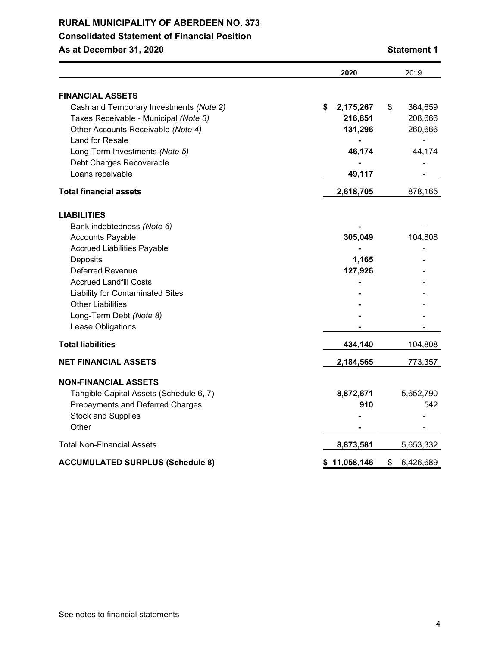## **Consolidated Statement of Financial Position**

|                                                                          | 2020            | 2019            |
|--------------------------------------------------------------------------|-----------------|-----------------|
| <b>FINANCIAL ASSETS</b><br>Cash and Temporary Investments (Note 2)       | \$<br>2,175,267 | \$<br>364,659   |
| Taxes Receivable - Municipal (Note 3)                                    | 216,851         | 208,666         |
| Other Accounts Receivable (Note 4)                                       | 131,296         | 260,666         |
| <b>Land for Resale</b>                                                   |                 |                 |
| Long-Term Investments (Note 5)                                           | 46,174          | 44,174          |
| Debt Charges Recoverable                                                 |                 |                 |
| Loans receivable                                                         | 49,117          |                 |
| <b>Total financial assets</b>                                            | 2,618,705       | 878,165         |
| <b>LIABILITIES</b>                                                       |                 |                 |
| Bank indebtedness (Note 6)                                               |                 |                 |
| <b>Accounts Payable</b>                                                  | 305,049         | 104,808         |
| <b>Accrued Liabilities Payable</b>                                       |                 |                 |
| Deposits                                                                 | 1,165           |                 |
| Deferred Revenue                                                         | 127,926         |                 |
| <b>Accrued Landfill Costs</b><br><b>Liability for Contaminated Sites</b> |                 |                 |
| <b>Other Liabilities</b>                                                 |                 |                 |
| Long-Term Debt (Note 8)                                                  |                 |                 |
| Lease Obligations                                                        |                 |                 |
| <b>Total liabilities</b>                                                 | 434,140         | 104,808         |
| <b>NET FINANCIAL ASSETS</b>                                              | 2,184,565       | 773,357         |
| <b>NON-FINANCIAL ASSETS</b>                                              |                 |                 |
| Tangible Capital Assets (Schedule 6, 7)                                  | 8,872,671       | 5,652,790       |
| Prepayments and Deferred Charges                                         | 910             | 542             |
| <b>Stock and Supplies</b>                                                |                 |                 |
| Other                                                                    |                 |                 |
| <b>Total Non-Financial Assets</b>                                        | 8,873,581       | 5,653,332       |
| <b>ACCUMULATED SURPLUS (Schedule 8)</b>                                  | \$11,058,146    | \$<br>6,426,689 |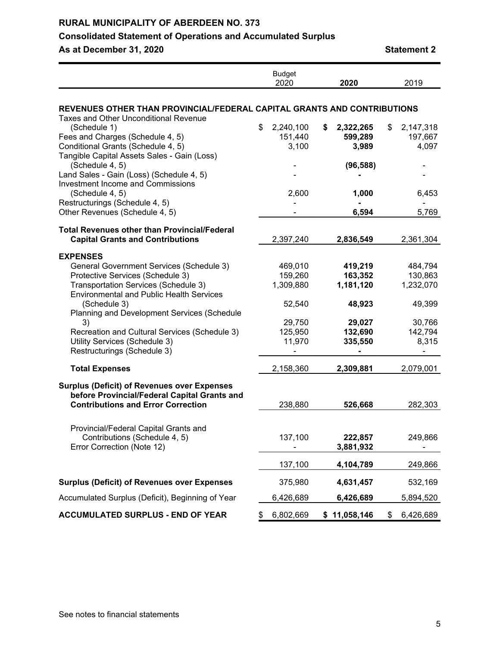## **Consolidated Statement of Operations and Accumulated Surplus**

|                                                                                                                                                        | <b>Budget</b><br>2020               | 2020                                | 2019                                |
|--------------------------------------------------------------------------------------------------------------------------------------------------------|-------------------------------------|-------------------------------------|-------------------------------------|
| REVENUES OTHER THAN PROVINCIAL/FEDERAL CAPITAL GRANTS AND CONTRIBUTIONS                                                                                |                                     |                                     |                                     |
| <b>Taxes and Other Unconditional Revenue</b><br>(Schedule 1)<br>Fees and Charges (Schedule 4, 5)<br>Conditional Grants (Schedule 4, 5)                 | \$<br>2,240,100<br>151,440<br>3,100 | \$<br>2,322,265<br>599,289<br>3,989 | \$<br>2,147,318<br>197,667<br>4,097 |
| Tangible Capital Assets Sales - Gain (Loss)<br>(Schedule 4, 5)<br>Land Sales - Gain (Loss) (Schedule 4, 5)<br><b>Investment Income and Commissions</b> |                                     | (96, 588)                           |                                     |
| (Schedule 4, 5)                                                                                                                                        | 2,600                               | 1,000                               | 6,453                               |
| Restructurings (Schedule 4, 5)<br>Other Revenues (Schedule 4, 5)                                                                                       | ۰                                   | 6,594                               | 5,769                               |
| <b>Total Revenues other than Provincial/Federal</b><br><b>Capital Grants and Contributions</b>                                                         | 2,397,240                           | 2,836,549                           | 2,361,304                           |
|                                                                                                                                                        |                                     |                                     |                                     |
| <b>EXPENSES</b><br>General Government Services (Schedule 3)<br>Protective Services (Schedule 3)<br>Transportation Services (Schedule 3)                | 469,010<br>159,260<br>1,309,880     | 419,219<br>163,352<br>1,181,120     | 484,794<br>130,863<br>1,232,070     |
| <b>Environmental and Public Health Services</b><br>(Schedule 3)<br>Planning and Development Services (Schedule                                         | 52,540                              | 48,923                              | 49,399                              |
| 3)<br>Recreation and Cultural Services (Schedule 3)<br>Utility Services (Schedule 3)<br>Restructurings (Schedule 3)                                    | 29,750<br>125,950<br>11,970         | 29,027<br>132,690<br>335,550        | 30,766<br>142,794<br>8,315          |
| <b>Total Expenses</b>                                                                                                                                  | 2,158,360                           | 2,309,881                           | 2,079,001                           |
| <b>Surplus (Deficit) of Revenues over Expenses</b><br>before Provincial/Federal Capital Grants and<br><b>Contributions and Error Correction</b>        | 238,880                             | 526,668                             | 282,303                             |
| Provincial/Federal Capital Grants and<br>Contributions (Schedule 4, 5)<br>Error Correction (Note 12)                                                   | 137,100                             | 222,857<br>3,881,932                | 249,866                             |
|                                                                                                                                                        | 137,100                             | 4,104,789                           | 249,866                             |
| <b>Surplus (Deficit) of Revenues over Expenses</b>                                                                                                     | 375,980                             | 4,631,457                           | 532,169                             |
| Accumulated Surplus (Deficit), Beginning of Year                                                                                                       | 6,426,689                           | 6,426,689                           | 5,894,520                           |
| <b>ACCUMULATED SURPLUS - END OF YEAR</b>                                                                                                               | \$<br>6,802,669                     | \$11,058,146                        | \$<br>6,426,689                     |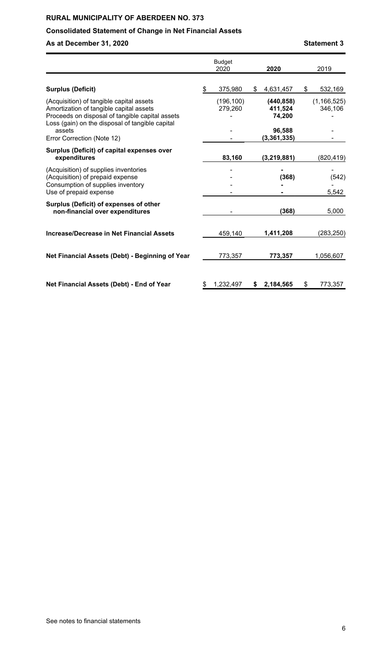# **Consolidated Statement of Change in Net Financial Assets**

|                                                                                                                                                                                                     | <b>Budget</b><br>2020 | 2020                                      | 2019                     |
|-----------------------------------------------------------------------------------------------------------------------------------------------------------------------------------------------------|-----------------------|-------------------------------------------|--------------------------|
| <b>Surplus (Deficit)</b>                                                                                                                                                                            | \$<br>375,980         | \$<br>4,631,457                           | \$<br>532,169            |
| (Acquisition) of tangible capital assets<br>Amortization of tangible capital assets<br>Proceeds on disposal of tangible capital assets<br>Loss (gain) on the disposal of tangible capital<br>assets | (196, 100)<br>279,260 | (440, 858)<br>411,524<br>74,200<br>96,588 | (1, 166, 525)<br>346,106 |
| Error Correction (Note 12)                                                                                                                                                                          |                       | (3, 361, 335)                             |                          |
| Surplus (Deficit) of capital expenses over<br>expenditures                                                                                                                                          | 83,160                | (3, 219, 881)                             | (820, 419)               |
| (Acquisition) of supplies inventories<br>(Acquisition) of prepaid expense<br>Consumption of supplies inventory<br>Use of prepaid expense                                                            |                       | (368)                                     | (542)<br>5,542           |
| Surplus (Deficit) of expenses of other<br>non-financial over expenditures                                                                                                                           |                       | (368)                                     | 5,000                    |
| Increase/Decrease in Net Financial Assets                                                                                                                                                           | 459,140               | 1,411,208                                 | (283, 250)               |
| Net Financial Assets (Debt) - Beginning of Year                                                                                                                                                     | 773,357               | 773,357                                   | 1,056,607                |
| Net Financial Assets (Debt) - End of Year                                                                                                                                                           | \$<br>1,232,497       | \$<br>2,184,565                           | \$<br>773,357            |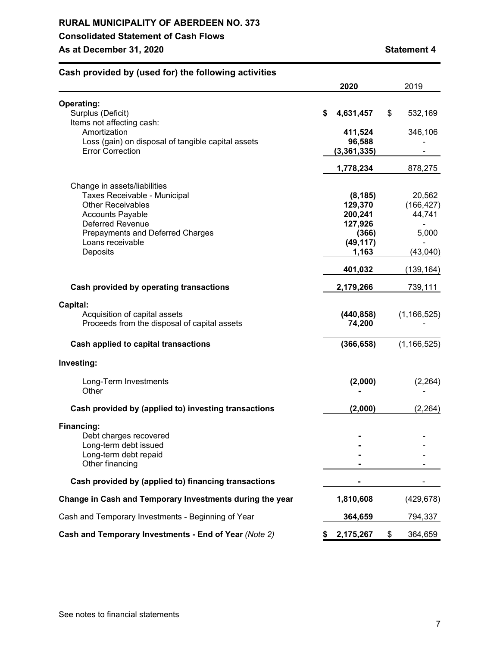## **Consolidated Statement of Cash Flows**

| Cash provided by (used for) the following activities                                                                                                                               |                                                    |                                         |
|------------------------------------------------------------------------------------------------------------------------------------------------------------------------------------|----------------------------------------------------|-----------------------------------------|
|                                                                                                                                                                                    | 2020                                               | 2019                                    |
| <b>Operating:</b><br>Surplus (Deficit)                                                                                                                                             | \$<br>4,631,457                                    | \$<br>532,169                           |
| Items not affecting cash:<br>Amortization<br>Loss (gain) on disposal of tangible capital assets<br><b>Error Correction</b>                                                         | 411,524<br>96,588<br>(3, 361, 335)                 | 346,106                                 |
|                                                                                                                                                                                    | 1,778,234                                          | 878,275                                 |
| Change in assets/liabilities<br>Taxes Receivable - Municipal<br><b>Other Receivables</b><br><b>Accounts Payable</b><br><b>Deferred Revenue</b><br>Prepayments and Deferred Charges | (8, 185)<br>129,370<br>200,241<br>127,926<br>(366) | 20,562<br>(166, 427)<br>44,741<br>5,000 |
| Loans receivable<br>Deposits                                                                                                                                                       | (49, 117)<br>1,163                                 | (43, 040)                               |
|                                                                                                                                                                                    | 401,032                                            | (139, 164)                              |
| Cash provided by operating transactions                                                                                                                                            | 2,179,266                                          | 739,111                                 |
| Capital:<br>Acquisition of capital assets<br>Proceeds from the disposal of capital assets                                                                                          | (440, 858)<br>74,200                               | (1, 166, 525)                           |
| Cash applied to capital transactions                                                                                                                                               | (366, 658)                                         | (1, 166, 525)                           |
| Investing:                                                                                                                                                                         |                                                    |                                         |
| Long-Term Investments<br>Other                                                                                                                                                     | (2,000)                                            | (2, 264)                                |
| Cash provided by (applied to) investing transactions                                                                                                                               | (2,000)                                            | (2, 264)                                |
| <b>Financing:</b><br>Debt charges recovered<br>Long-term debt issued<br>Long-term debt repaid<br>Other financing                                                                   |                                                    |                                         |
| Cash provided by (applied to) financing transactions                                                                                                                               |                                                    |                                         |
| Change in Cash and Temporary Investments during the year                                                                                                                           | 1,810,608                                          | (429, 678)                              |
| Cash and Temporary Investments - Beginning of Year                                                                                                                                 | 364,659                                            | 794,337                                 |
| Cash and Temporary Investments - End of Year (Note 2)                                                                                                                              | \$<br>2,175,267                                    | \$<br>364,659                           |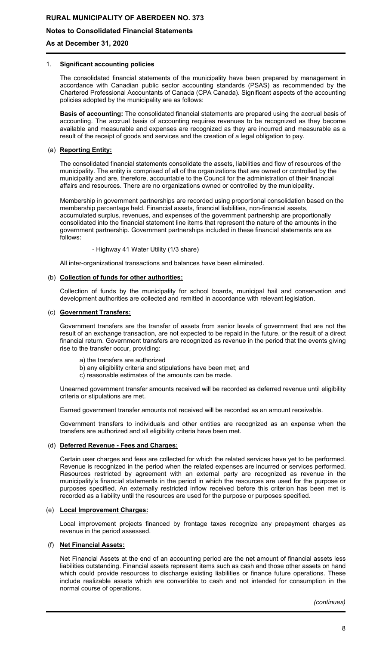## **Notes to Consolidated Financial Statements**

## **As at December 31, 2020**

### 1. **Significant accounting policies**

The consolidated financial statements of the municipality have been prepared by management in accordance with Canadian public sector accounting standards (PSAS) as recommended by the Chartered Professional Accountants of Canada (CPA Canada). Significant aspects of the accounting policies adopted by the municipality are as follows:

**Basis of accounting:** The consolidated financial statements are prepared using the accrual basis of accounting. The accrual basis of accounting requires revenues to be recognized as they become available and measurable and expenses are recognized as they are incurred and measurable as a result of the receipt of goods and services and the creation of a legal obligation to pay.

### (a) **Reporting Entity:**

The consolidated financial statements consolidate the assets, liabilities and flow of resources of the municipality. The entity is comprised of all of the organizations that are owned or controlled by the municipality and are, therefore, accountable to the Council for the administration of their financial affairs and resources. There are no organizations owned or controlled by the municipality.

Membership in government partnerships are recorded using proportional consolidation based on the membership percentage held. Financial assets, financial liabilities, non-financial assets, accumulated surplus, revenues, and expenses of the government partnership are proportionally consolidated into the financial statement line items that represent the nature of the amounts in the government partnership. Government partnerships included in these financial statements are as follows:

- Highway 41 Water Utility (1/3 share)

All inter-organizational transactions and balances have been eliminated.

#### (b) **Collection of funds for other authorities:**

Collection of funds by the municipality for school boards, municipal hail and conservation and development authorities are collected and remitted in accordance with relevant legislation.

### (c) **Government Transfers:**

Government transfers are the transfer of assets from senior levels of government that are not the result of an exchange transaction, are not expected to be repaid in the future, or the result of a direct financial return. Government transfers are recognized as revenue in the period that the events giving rise to the transfer occur, providing:

- a) the transfers are authorized
- b) any eligibility criteria and stipulations have been met; and
- c) reasonable estimates of the amounts can be made.

Unearned government transfer amounts received will be recorded as deferred revenue until eligibility criteria or stipulations are met.

Earned government transfer amounts not received will be recorded as an amount receivable.

Government transfers to individuals and other entities are recognized as an expense when the transfers are authorized and all eligibility criteria have been met.

### (d) **Deferred Revenue - Fees and Charges:**

Certain user charges and fees are collected for which the related services have yet to be performed. Revenue is recognized in the period when the related expenses are incurred or services performed. Resources restricted by agreement with an external party are recognized as revenue in the municipality's financial statements in the period in which the resources are used for the purpose or purposes specified. An externally restricted inflow received before this criterion has been met is recorded as a liability until the resources are used for the purpose or purposes specified.

#### (e) **Local Improvement Charges:**

Local improvement projects financed by frontage taxes recognize any prepayment charges as revenue in the period assessed.

#### (f) **Net Financial Assets:**

Net Financial Assets at the end of an accounting period are the net amount of financial assets less liabilities outstanding. Financial assets represent items such as cash and those other assets on hand which could provide resources to discharge existing liabilities or finance future operations. These include realizable assets which are convertible to cash and not intended for consumption in the normal course of operations.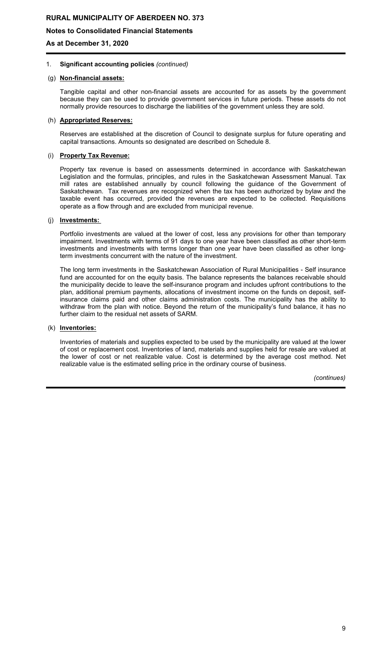## **Notes to Consolidated Financial Statements**

## **As at December 31, 2020**

### 1. **Significant accounting policies** *(continued)*

### (g) **Non-financial assets:**

Tangible capital and other non-financial assets are accounted for as assets by the government because they can be used to provide government services in future periods. These assets do not normally provide resources to discharge the liabilities of the government unless they are sold.

### (h) **Appropriated Reserves:**

Reserves are established at the discretion of Council to designate surplus for future operating and capital transactions. Amounts so designated are described on Schedule 8.

### (i) **Property Tax Revenue:**

Property tax revenue is based on assessments determined in accordance with Saskatchewan Legislation and the formulas, principles, and rules in the Saskatchewan Assessment Manual. Tax mill rates are established annually by council following the guidance of the Government of Saskatchewan. Tax revenues are recognized when the tax has been authorized by bylaw and the taxable event has occurred, provided the revenues are expected to be collected. Requisitions operate as a flow through and are excluded from municipal revenue.

### (j) **Investments:**

Portfolio investments are valued at the lower of cost, less any provisions for other than temporary impairment. Investments with terms of 91 days to one year have been classified as other short-term investments and investments with terms longer than one year have been classified as other longterm investments concurrent with the nature of the investment.

The long term investments in the Saskatchewan Association of Rural Municipalities - Self insurance fund are accounted for on the equity basis. The balance represents the balances receivable should the municipality decide to leave the self-insurance program and includes upfront contributions to the plan, additional premium payments, allocations of investment income on the funds on deposit, selfinsurance claims paid and other claims administration costs. The municipality has the ability to withdraw from the plan with notice. Beyond the return of the municipality's fund balance, it has no further claim to the residual net assets of SARM.

#### (k) **Inventories:**

Inventories of materials and supplies expected to be used by the municipality are valued at the lower of cost or replacement cost. Inventories of land, materials and supplies held for resale are valued at the lower of cost or net realizable value. Cost is determined by the average cost method. Net realizable value is the estimated selling price in the ordinary course of business.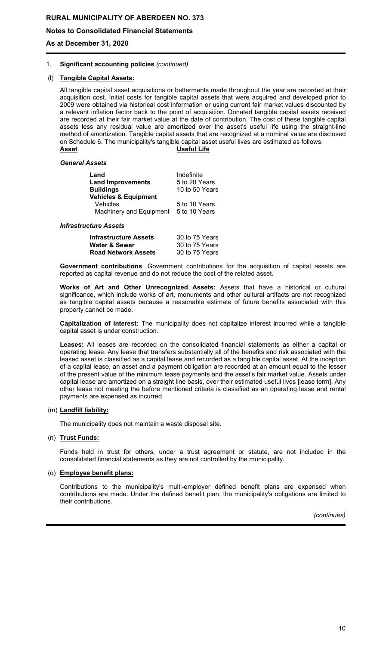## **Notes to Consolidated Financial Statements**

### **As at December 31, 2020**

### 1. **Significant accounting policies** *(continued)*

### (l) **Tangible Capital Assets:**

All tangible capital asset acquisitions or betterments made throughout the year are recorded at their acquisition cost. Initial costs for tangible capital assets that were acquired and developed prior to 2009 were obtained via historical cost information or using current fair market values discounted by a relevant inflation factor back to the point of acquisition. Donated tangible capital assets received are recorded at their fair market value at the date of contribution. The cost of these tangible capital assets less any residual value are amortized over the asset's useful life using the straight-line method of amortization. Tangible capital assets that are recognized at a nominal value are disclosed on Schedule 6. The municipality's tangible capital asset useful lives are estimated as follows: **Asset Useful Life**

### *General Assets*

| Land                            | Indefinite     |
|---------------------------------|----------------|
| <b>Land Improvements</b>        | 5 to 20 Years  |
| <b>Buildings</b>                | 10 to 50 Years |
| <b>Vehicles &amp; Equipment</b> |                |
| Vehicles                        | 5 to 10 Years  |
| Machinery and Equipment         | 5 to 10 Years  |

#### *Infrastructure Assets*

| <b>Infrastructure Assets</b> | 30 to 75 Years |
|------------------------------|----------------|
| Water & Sewer                | 30 to 75 Years |
| <b>Road Network Assets</b>   | 30 to 75 Years |

**Government contributions**: Government contributions for the acquisition of capital assets are reported as capital revenue and do not reduce the cost of the related asset.

**Works of Art and Other Unrecognized Assets:** Assets that have a historical or cultural significance, which include works of art, monuments and other cultural artifacts are not recognized as tangible capital assets because a reasonable estimate of future benefits associated with this property cannot be made.

**Capitalization of Interest:** The municipality does not capitalize interest incurred while a tangible capital asset is under construction.

**Leases:** All leases are recorded on the consolidated financial statements as either a capital or operating lease. Any lease that transfers substantially all of the benefits and risk associated with the leased asset is classified as a capital lease and recorded as a tangible capital asset. At the inception of a capital lease, an asset and a payment obligation are recorded at an amount equal to the lesser of the present value of the minimum lease payments and the asset's fair market value. Assets under capital lease are amortized on a straight line basis, over their estimated useful lives [lease term]. Any other lease not meeting the before mentioned criteria is classified as an operating lease and rental payments are expensed as incurred.

#### (m) **Landfill liability:**

The municipality does not maintain a waste disposal site.

#### (n) **Trust Funds:**

Funds held in trust for others, under a trust agreement or statute, are not included in the consolidated financial statements as they are not controlled by the municipality.

### (o) **Employee benefit plans:**

Contributions to the municipality's multi-employer defined benefit plans are expensed when contributions are made. Under the defined benefit plan, the municipality's obligations are limited to their contributions.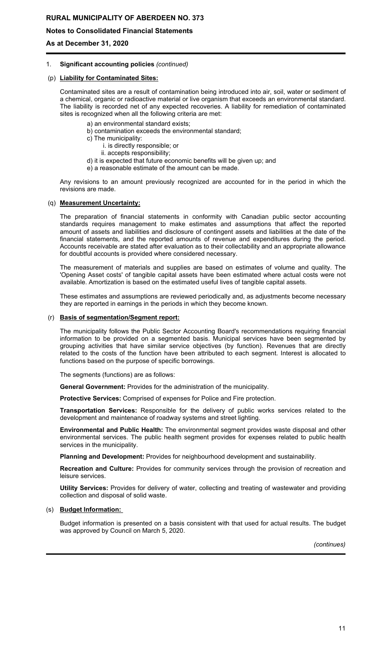## **Notes to Consolidated Financial Statements**

### **As at December 31, 2020**

### 1. **Significant accounting policies** *(continued)*

### (p) **Liability for Contaminated Sites:**

Contaminated sites are a result of contamination being introduced into air, soil, water or sediment of a chemical, organic or radioactive material or live organism that exceeds an environmental standard. The liability is recorded net of any expected recoveries. A liability for remediation of contaminated sites is recognized when all the following criteria are met:

- a) an environmental standard exists;
- b) contamination exceeds the environmental standard;
- c) The municipality:
	- i. is directly responsible; or
	- ii. accepts responsibility;
- d) it is expected that future economic benefits will be given up; and
- e) a reasonable estimate of the amount can be made.

Any revisions to an amount previously recognized are accounted for in the period in which the revisions are made.

### (q) **Measurement Uncertainty:**

The preparation of financial statements in conformity with Canadian public sector accounting standards requires management to make estimates and assumptions that affect the reported amount of assets and liabilities and disclosure of contingent assets and liabilities at the date of the financial statements, and the reported amounts of revenue and expenditures during the period. Accounts receivable are stated after evaluation as to their collectability and an appropriate allowance for doubtful accounts is provided where considered necessary.

The measurement of materials and supplies are based on estimates of volume and quality. The 'Opening Asset costs' of tangible capital assets have been estimated where actual costs were not available. Amortization is based on the estimated useful lives of tangible capital assets.

These estimates and assumptions are reviewed periodically and, as adjustments become necessary they are reported in earnings in the periods in which they become known.

#### (r) **Basis of segmentation/Segment report:**

The municipality follows the Public Sector Accounting Board's recommendations requiring financial information to be provided on a segmented basis. Municipal services have been segmented by grouping activities that have similar service objectives (by function). Revenues that are directly related to the costs of the function have been attributed to each segment. Interest is allocated to functions based on the purpose of specific borrowings.

The segments (functions) are as follows:

**General Government:** Provides for the administration of the municipality.

**Protective Services:** Comprised of expenses for Police and Fire protection.

**Transportation Services:** Responsible for the delivery of public works services related to the development and maintenance of roadway systems and street lighting.

**Environmental and Public Health:** The environmental segment provides waste disposal and other environmental services. The public health segment provides for expenses related to public health services in the municipality.

**Planning and Development:** Provides for neighbourhood development and sustainability.

**Recreation and Culture:** Provides for community services through the provision of recreation and leisure services.

**Utility Services:** Provides for delivery of water, collecting and treating of wastewater and providing collection and disposal of solid waste.

### (s) **Budget Information:**

Budget information is presented on a basis consistent with that used for actual results. The budget was approved by Council on March 5, 2020.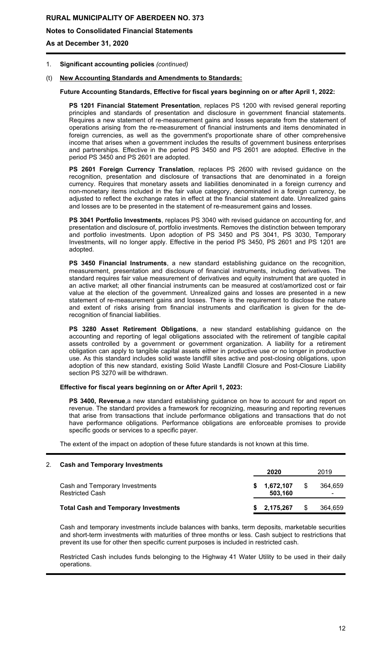### **Notes to Consolidated Financial Statements**

**As at December 31, 2020**

### 1. **Significant accounting policies** *(continued)*

## (t) **New Accounting Standards and Amendments to Standards:**

### **Future Accounting Standards, Effective for fiscal years beginning on or after April 1, 2022:**

**PS 1201 Financial Statement Presentation**, replaces PS 1200 with revised general reporting principles and standards of presentation and disclosure in government financial statements. Requires a new statement of re-measurement gains and losses separate from the statement of operations arising from the re-measurement of financial instruments and items denominated in foreign currencies, as well as the government's proportionate share of other comprehensive income that arises when a government includes the results of government business enterprises and partnerships. Effective in the period PS 3450 and PS 2601 are adopted. Effective in the period PS 3450 and PS 2601 are adopted.

**PS 2601 Foreign Currency Translation**, replaces PS 2600 with revised guidance on the recognition, presentation and disclosure of transactions that are denominated in a foreign currency. Requires that monetary assets and liabilities denominated in a foreign currency and non-monetary items included in the fair value category, denominated in a foreign currency, be adjusted to reflect the exchange rates in effect at the financial statement date. Unrealized gains and losses are to be presented in the statement of re-measurement gains and losses.

**PS 3041 Portfolio Investments**, replaces PS 3040 with revised guidance on accounting for, and presentation and disclosure of, portfolio investments. Removes the distinction between temporary and portfolio investments. Upon adoption of PS 3450 and PS 3041, PS 3030, Temporary Investments, will no longer apply. Effective in the period PS 3450, PS 2601 and PS 1201 are adopted.

**PS 3450 Financial Instruments**, a new standard establishing guidance on the recognition, measurement, presentation and disclosure of financial instruments, including derivatives. The standard requires fair value measurement of derivatives and equity instrument that are quoted in an active market; all other financial instruments can be measured at cost/amortized cost or fair value at the election of the government. Unrealized gains and losses are presented in a new statement of re-measurement gains and losses. There is the requirement to disclose the nature and extent of risks arising from financial instruments and clarification is given for the derecognition of financial liabilities.

**PS 3280 Asset Retirement Obligations**, a new standard establishing guidance on the accounting and reporting of legal obligations associated with the retirement of tangible capital assets controlled by a government or government organization. A liability for a retirement obligation can apply to tangible capital assets either in productive use or no longer in productive use. As this standard includes solid waste landfill sites active and post-closing obligations, upon adoption of this new standard, existing Solid Waste Landfill Closure and Post-Closure Liability section PS 3270 will be withdrawn.

#### **Effective for fiscal years beginning on or After April 1, 2023:**

**PS 3400, Revenue**,a new standard establishing guidance on how to account for and report on revenue. The standard provides a framework for recognizing, measuring and reporting revenues that arise from transactions that include performance obligations and transactions that do not have performance obligations. Performance obligations are enforceable promises to provide specific goods or services to a specific payer.

The extent of the impact on adoption of these future standards is not known at this time.

| 2. | <b>Cash and Temporary Investments</b>                    | 2020                 | 2019         |
|----|----------------------------------------------------------|----------------------|--------------|
|    | Cash and Temporary Investments<br><b>Restricted Cash</b> | 1,672,107<br>503,160 | 364.659<br>- |
|    | <b>Total Cash and Temporary Investments</b>              | 2,175,267            | 364,659      |

Cash and temporary investments include balances with banks, term deposits, marketable securities and short-term investments with maturities of three months or less. Cash subject to restrictions that prevent its use for other then specific current purposes is included in restricted cash.

Restricted Cash includes funds belonging to the Highway 41 Water Utility to be used in their daily operations.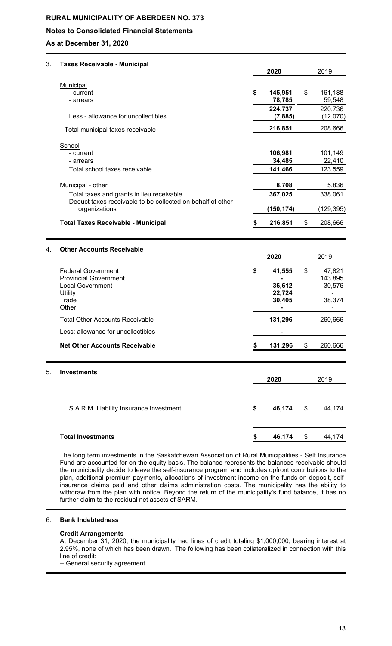## **Notes to Consolidated Financial Statements**

**As at December 31, 2020**

| 3. | <b>Taxes Receivable - Municipal</b>                                         | 2020                       | 2019                            |
|----|-----------------------------------------------------------------------------|----------------------------|---------------------------------|
|    |                                                                             |                            |                                 |
|    | Municipal<br>- current                                                      | \$<br>145,951              | \$<br>161,188                   |
|    | - arrears                                                                   | 78,785                     | 59,548                          |
|    |                                                                             | 224,737                    | 220,736                         |
|    | Less - allowance for uncollectibles                                         | (7, 885)                   | (12,070)                        |
|    | Total municipal taxes receivable                                            | 216,851                    | 208,666                         |
|    | School                                                                      |                            |                                 |
|    | - current                                                                   | 106,981                    | 101,149                         |
|    | - arrears                                                                   | 34,485                     | 22,410                          |
|    | Total school taxes receivable                                               | 141,466                    | 123,559                         |
|    | Municipal - other                                                           | 8,708                      | 5,836                           |
|    | Total taxes and grants in lieu receivable                                   | 367,025                    | 338,061                         |
|    | Deduct taxes receivable to be collected on behalf of other<br>organizations | (150, 174)                 | (129,395)                       |
|    | <b>Total Taxes Receivable - Municipal</b>                                   | \$<br>216,851              | \$<br>208,666                   |
|    | <b>Federal Government</b><br><b>Provincial Government</b>                   | \$<br>2020<br>41,555       | \$<br>2019<br>47,821<br>143,895 |
|    | <b>Local Government</b><br>Utility<br>Trade                                 | 36,612<br>22,724<br>30,405 | 30,576<br>38,374                |
|    | Other                                                                       |                            |                                 |
|    | <b>Total Other Accounts Receivable</b>                                      | 131,296                    | 260,666                         |
|    | Less: allowance for uncollectibles                                          |                            |                                 |
|    | <b>Net Other Accounts Receivable</b>                                        | \$<br>131,296              | \$<br>260,666                   |
| 5. | <b>Investments</b>                                                          |                            |                                 |
|    |                                                                             | 2020                       | 2019                            |
|    | S.A.R.M. Liability Insurance Investment                                     | \$<br>46,174               | \$<br>44,174                    |
|    | <b>Total Investments</b>                                                    | \$<br>46,174               | \$<br>44,174                    |

The long term investments in the Saskatchewan Association of Rural Municipalities - Self Insurance Fund are accounted for on the equity basis. The balance represents the balances receivable should the municipality decide to leave the self-insurance program and includes upfront contributions to the plan, additional premium payments, allocations of investment income on the funds on deposit, selfinsurance claims paid and other claims administration costs. The municipality has the ability to withdraw from the plan with notice. Beyond the return of the municipality's fund balance, it has no further claim to the residual net assets of SARM.

## 6. **Bank Indebtedness**

#### **Credit Arrangements**

At December 31, 2020, the municipality had lines of credit totaling \$1,000,000, bearing interest at 2.95%, none of which has been drawn. The following has been collateralized in connection with this line of credit:

-- General security agreement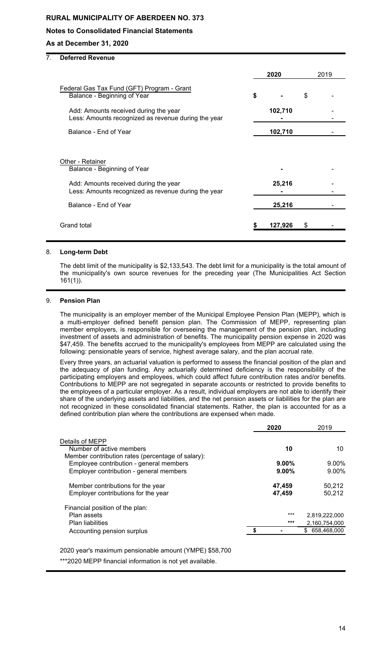## **Notes to Consolidated Financial Statements**

## **As at December 31, 2020**

### 7. **Deferred Revenue**

|                                                                                              | 2020    |         |    | 2019 |
|----------------------------------------------------------------------------------------------|---------|---------|----|------|
| Federal Gas Tax Fund (GFT) Program - Grant<br>Balance - Beginning of Year                    | \$      |         | \$ |      |
| Add: Amounts received during the year<br>Less: Amounts recognized as revenue during the year |         | 102,710 |    |      |
| Balance - End of Year                                                                        | 102,710 |         |    |      |
| Other - Retainer<br>Balance - Beginning of Year                                              |         |         |    |      |
| Add: Amounts received during the year<br>Less: Amounts recognized as revenue during the year |         | 25,216  |    |      |
| Balance - End of Year                                                                        |         | 25,216  |    |      |
| Grand total                                                                                  |         | 127,926 | S  |      |

#### 8. **Long-term Debt**

The debt limit of the municipality is \$2,133,543. The debt limit for a municipality is the total amount of the municipality's own source revenues for the preceding year (The Municipalities Act Section 161(1)).

### 9. **Pension Plan**

The municipality is an employer member of the Municipal Employee Pension Plan (MEPP), which is a multi-employer defined benefit pension plan. The Commission of MEPP, representing plan member employers, is responsible for overseeing the management of the pension plan, including investment of assets and administration of benefits. The municipality pension expense in 2020 was \$47,459. The benefits accrued to the municipality's employees from MEPP are calculated using the following: pensionable years of service, highest average salary, and the plan accrual rate.

Every three years, an actuarial valuation is performed to assess the financial position of the plan and the adequacy of plan funding. Any actuarially determined deficiency is the responsibility of the participating employers and employees, which could affect future contribution rates and/or benefits. Contributions to MEPP are not segregated in separate accounts or restricted to provide benefits to the employees of a particular employer. As a result, individual employers are not able to identify their share of the underlying assets and liabilities, and the net pension assets or liabilities for the plan are not recognized in these consolidated financial statements. Rather, the plan is accounted for as a defined contribution plan where the contributions are expensed when made.

|                                                   | 2020     | 2019           |
|---------------------------------------------------|----------|----------------|
| Details of MEPP                                   |          |                |
| Number of active members                          | 10       | 10             |
| Member contribution rates (percentage of salary): |          |                |
| Employee contribution - general members           | $9.00\%$ | 9.00%          |
| Employer contribution - general members           | $9.00\%$ | 9.00%          |
| Member contributions for the year                 | 47,459   | 50,212         |
| Employer contributions for the year               | 47,459   | 50,212         |
| Financial position of the plan:                   |          |                |
| Plan assets                                       | $***$    | 2,819,222,000  |
| <b>Plan liabilities</b>                           | ***      | 2,160,754,000  |
| Accounting pension surplus                        |          | \$ 658,468,000 |

2020 year's maximum pensionable amount (YMPE) \$58,700

\*\*\*2020 MEPP financial information is not yet available.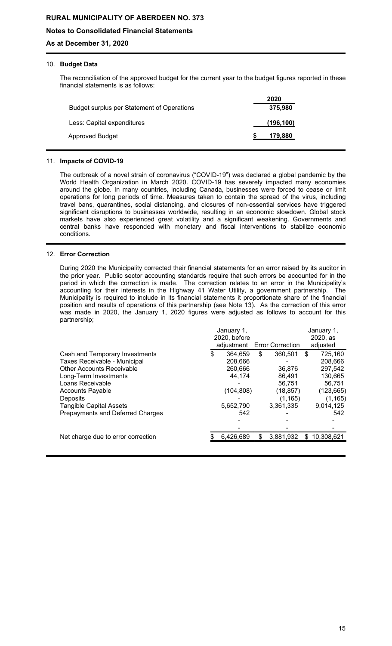## **Notes to Consolidated Financial Statements**

## **As at December 31, 2020**

### 10. **Budget Data**

The reconciliation of the approved budget for the current year to the budget figures reported in these financial statements is as follows:

|                                            | 2020       |
|--------------------------------------------|------------|
| Budget surplus per Statement of Operations | 375,980    |
| Less: Capital expenditures                 | (196, 100) |
| <b>Approved Budget</b>                     | 179,880    |

### 11. **Impacts of COVID-19**

The outbreak of a novel strain of coronavirus ("COVID-19") was declared a global pandemic by the World Health Organization in March 2020. COVID-19 has severely impacted many economies around the globe. In many countries, including Canada, businesses were forced to cease or limit operations for long periods of time. Measures taken to contain the spread of the virus, including travel bans, quarantines, social distancing, and closures of non-essential services have triggered significant disruptions to businesses worldwide, resulting in an economic slowdown. Global stock markets have also experienced great volatility and a significant weakening. Governments and central banks have responded with monetary and fiscal interventions to stabilize economic conditions.

### 12. **Error Correction**

During 2020 the Municipality corrected their financial statements for an error raised by its auditor in the prior year. Public sector accounting standards require that such errors be accounted for in the period in which the correction is made. The correction relates to an error in the Municipality's accounting for their interests in the Highway 41 Water Utility, a government partnership. The Municipality is required to include in its financial statements it proportionate share of the financial position and results of operations of this partnership (see Note 13). As the correction of this error was made in 2020, the January 1, 2020 figures were adjusted as follows to account for this partnership;

|                                    | January 1,<br>2020, before |                         |     | January 1,<br>2020, as |
|------------------------------------|----------------------------|-------------------------|-----|------------------------|
|                                    | adjustment                 | <b>Error Correction</b> |     | adjusted               |
| Cash and Temporary Investments     | \$<br>364.659              | \$<br>360,501           | \$  | 725,160                |
| Taxes Receivable - Municipal       | 208,666                    |                         |     | 208,666                |
| <b>Other Accounts Receivable</b>   | 260,666                    | 36,876                  |     | 297,542                |
| Long-Term Investments              | 44.174                     | 86,491                  |     | 130,665                |
| Loans Receivable                   |                            | 56,751                  |     | 56,751                 |
| <b>Accounts Payable</b>            | (104,808)                  | (18, 857)               |     | (123, 665)             |
| Deposits                           |                            | (1, 165)                |     | (1, 165)               |
| <b>Tangible Capital Assets</b>     | 5,652,790                  | 3,361,335               |     | 9,014,125              |
| Prepayments and Deferred Charges   | 542                        | -                       |     | 542                    |
|                                    |                            |                         |     |                        |
|                                    |                            |                         |     |                        |
| Net charge due to error correction | 6,426,689                  | \$<br>3,881,932         | \$. | 10,308,621             |
|                                    |                            |                         |     |                        |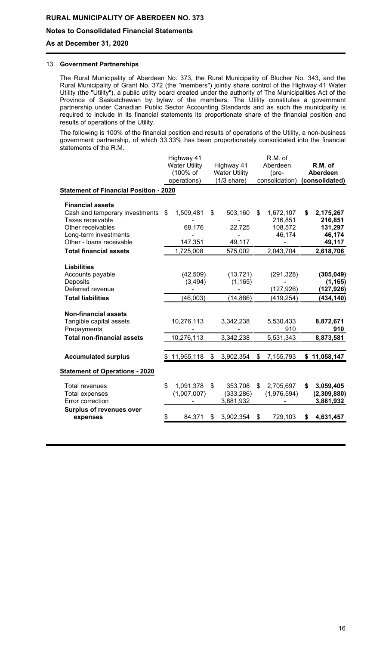## **Notes to Consolidated Financial Statements**

## **As at December 31, 2020**

### 13. **Government Partnerships**

The Rural Municipality of Aberdeen No. 373, the Rural Municipality of Blucher No. 343, and the Rural Municipality of Grant No. 372 (the "members") jointly share control of the Highway 41 Water Utility (the "Utility"), a public utility board created under the authority of The Municipalities Act of the Province of Saskatchewan by bylaw of the members. The Utility constitutes a government partnership under Canadian Public Sector Accounting Standards and as such the municipality is required to include in its financial statements its proportionate share of the financial position and results of operations of the Utility.

The following is 100% of the financial position and results of operations of the Utility, a non-business government partnership, of which 33.33% has been proportionately consolidated into the financial statements of the R.M.

| <b>Statement of Financial Position - 2020</b>                                                      | Highway 41<br><b>Water Utility</b><br>(100% of<br>operations) |                                   | Highway 41<br><b>Water Utility</b><br>$(1/3 \text{ share})$ |                                    | R.M. of<br>Aberdeen<br>(pre-<br>consolidation) |                                        | R.M. of<br>Aberdeen<br>(consolidated)             |
|----------------------------------------------------------------------------------------------------|---------------------------------------------------------------|-----------------------------------|-------------------------------------------------------------|------------------------------------|------------------------------------------------|----------------------------------------|---------------------------------------------------|
|                                                                                                    |                                                               |                                   |                                                             |                                    |                                                |                                        |                                                   |
| <b>Financial assets</b><br>Cash and temporary investments<br>Taxes receivable                      | \$                                                            | 1,509,481                         | \$                                                          | 503,160                            | \$                                             | 1,672,107<br>216,851                   | \$<br>2,175,267<br>216,851                        |
| Other receivables<br>Long-term investments<br>Other - loans receivable                             |                                                               | 68,176<br>147,351                 |                                                             | 22,725<br>49,117                   |                                                | 108,572<br>46,174                      | 131,297<br>46,174<br>49,117                       |
| <b>Total financial assets</b>                                                                      |                                                               | 1,725,008                         |                                                             | 575,002                            |                                                | 2,043,704                              | 2,618,706                                         |
| <b>Liabilities</b><br>Accounts payable<br>Deposits<br>Deferred revenue<br><b>Total liabilities</b> |                                                               | (42, 509)<br>(3, 494)<br>(46,003) |                                                             | (13, 721)<br>(1, 165)<br>(14, 886) |                                                | (291, 328)<br>(127, 926)<br>(419, 254) | (305, 049)<br>(1, 165)<br>(127,926)<br>(434, 140) |
| <b>Non-financial assets</b><br>Tangible capital assets<br>Prepayments                              |                                                               | 10,276,113                        |                                                             | 3,342,238                          |                                                | 5,530,433<br>910                       | 8,872,671<br>910                                  |
| <b>Total non-financial assets</b>                                                                  |                                                               | 10,276,113                        |                                                             | 3,342,238                          |                                                | 5,531,343                              | 8,873,581                                         |
| <b>Accumulated surplus</b>                                                                         |                                                               | \$11,955,118                      | \$                                                          | 3,902,354                          | \$                                             | 7,155,793                              | \$11,058,147                                      |
| <b>Statement of Operations - 2020</b>                                                              |                                                               |                                   |                                                             |                                    |                                                |                                        |                                                   |
| <b>Total revenues</b><br><b>Total expenses</b><br>Error correction                                 | \$                                                            | 1,091,378<br>(1,007,007)          | \$                                                          | 353,708<br>(333, 286)<br>3,881,932 | \$                                             | 2,705,697<br>(1,976,594)               | \$<br>3,059,405<br>(2,309,880)<br>3,881,932       |
| <b>Surplus of revenues over</b><br>expenses                                                        | \$                                                            | 84,371                            | \$                                                          | 3,902,354                          | \$                                             | 729,103                                | \$<br>4,631,457                                   |
|                                                                                                    |                                                               |                                   |                                                             |                                    |                                                |                                        |                                                   |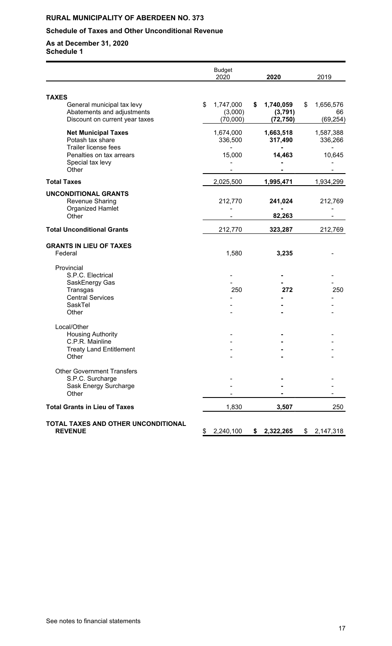# **Schedule of Taxes and Other Unconditional Revenue**

|                                                                                                              |    | <b>Budget</b><br>2020            | 2020                                    | 2019                               |
|--------------------------------------------------------------------------------------------------------------|----|----------------------------------|-----------------------------------------|------------------------------------|
| <b>TAXES</b>                                                                                                 |    |                                  |                                         |                                    |
| General municipal tax levy<br>Abatements and adjustments<br>Discount on current year taxes                   | \$ | 1,747,000<br>(3,000)<br>(70,000) | \$<br>1,740,059<br>(3,791)<br>(72, 750) | \$<br>1,656,576<br>66<br>(69, 254) |
| <b>Net Municipal Taxes</b><br>Potash tax share<br>Trailer license fees                                       |    | 1,674,000<br>336,500             | 1,663,518<br>317,490                    | 1,587,388<br>336,266               |
| Penalties on tax arrears<br>Special tax levy<br>Other                                                        |    | 15,000                           | 14,463                                  | 10,645                             |
| <b>Total Taxes</b>                                                                                           |    | 2,025,500                        | 1,995,471                               | 1,934,299                          |
| <b>UNCONDITIONAL GRANTS</b><br>Revenue Sharing<br><b>Organized Hamlet</b><br>Other                           |    | 212,770                          | 241,024<br>82,263                       | 212,769                            |
| <b>Total Unconditional Grants</b>                                                                            |    | 212,770                          | 323,287                                 | 212,769                            |
| <b>GRANTS IN LIEU OF TAXES</b><br>Federal                                                                    |    | 1,580                            | 3,235                                   |                                    |
| Provincial<br>S.P.C. Electrical<br>SaskEnergy Gas<br>Transgas<br><b>Central Services</b><br>SaskTel<br>Other |    | 250                              | 272                                     | 250                                |
| Local/Other<br><b>Housing Authority</b><br>C.P.R. Mainline<br><b>Treaty Land Entitlement</b><br>Other        |    |                                  |                                         |                                    |
| <b>Other Government Transfers</b><br>S.P.C. Surcharge<br>Sask Energy Surcharge<br>Other                      |    |                                  |                                         |                                    |
| <b>Total Grants in Lieu of Taxes</b>                                                                         |    | 1,830                            | 3,507                                   | 250                                |
| TOTAL TAXES AND OTHER UNCONDITIONAL<br><b>REVENUE</b>                                                        | S. | 2,240,100                        | \$<br>2,322,265                         | \$<br>2,147,318                    |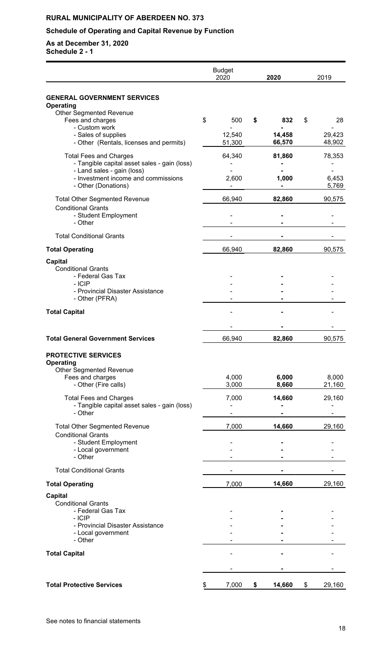# **Schedule of Operating and Capital Revenue by Function**

|                                                                                          | <b>Budget</b><br>2020 |    | 2020             | 2019             |
|------------------------------------------------------------------------------------------|-----------------------|----|------------------|------------------|
| <b>GENERAL GOVERNMENT SERVICES</b><br><b>Operating</b>                                   |                       |    |                  |                  |
| <b>Other Segmented Revenue</b><br>Fees and charges                                       | \$<br>500             | S  | 832              | \$<br>28         |
| - Custom work<br>- Sales of supplies<br>- Other (Rentals, licenses and permits)          | 12,540<br>51,300      |    | 14,458<br>66,570 | 29,423<br>48,902 |
| <b>Total Fees and Charges</b><br>- Tangible capital asset sales - gain (loss)            | 64,340                |    | 81,860           | 78,353           |
| - Land sales - gain (loss)<br>- Investment income and commissions<br>- Other (Donations) | 2,600                 |    | 1,000            | 6,453<br>5,769   |
| <b>Total Other Segmented Revenue</b><br><b>Conditional Grants</b>                        | 66,940                |    | 82,860           | 90,575           |
| - Student Employment<br>- Other                                                          |                       |    |                  |                  |
| <b>Total Conditional Grants</b>                                                          |                       |    |                  |                  |
| <b>Total Operating</b>                                                                   | 66,940                |    | 82,860           | 90,575           |
| <b>Capital</b><br><b>Conditional Grants</b><br>- Federal Gas Tax                         |                       |    |                  |                  |
| $-ICIP$<br>- Provincial Disaster Assistance<br>- Other (PFRA)                            |                       |    |                  |                  |
| <b>Total Capital</b>                                                                     |                       |    |                  |                  |
| <b>Total General Government Services</b>                                                 | 66,940                |    | 82,860           | 90,575           |
| <b>PROTECTIVE SERVICES</b><br><b>Operating</b>                                           |                       |    |                  |                  |
| <b>Other Segmented Revenue</b><br>Fees and charges<br>- Other (Fire calls)               | 4,000<br>3,000        |    | 6,000<br>8,660   | 8,000<br>21,160  |
| <b>Total Fees and Charges</b><br>- Tangible capital asset sales - gain (loss)<br>- Other | 7,000                 |    | 14,660           | 29,160           |
| <b>Total Other Segmented Revenue</b>                                                     | 7,000                 |    | 14,660           | 29,160           |
| <b>Conditional Grants</b><br>- Student Employment                                        |                       |    |                  |                  |
| - Local government<br>- Other                                                            |                       |    |                  |                  |
| <b>Total Conditional Grants</b>                                                          |                       |    |                  |                  |
| <b>Total Operating</b>                                                                   | 7,000                 |    | 14,660           | 29,160           |
| <b>Capital</b><br><b>Conditional Grants</b>                                              |                       |    |                  |                  |
| - Federal Gas Tax<br>- ICIP                                                              |                       |    |                  |                  |
| - Provincial Disaster Assistance<br>- Local government                                   |                       |    |                  |                  |
| - Other                                                                                  |                       |    |                  |                  |
| <b>Total Capital</b>                                                                     |                       |    |                  |                  |
| <b>Total Protective Services</b>                                                         | \$<br>7,000           | \$ | 14,660           | \$<br>29,160     |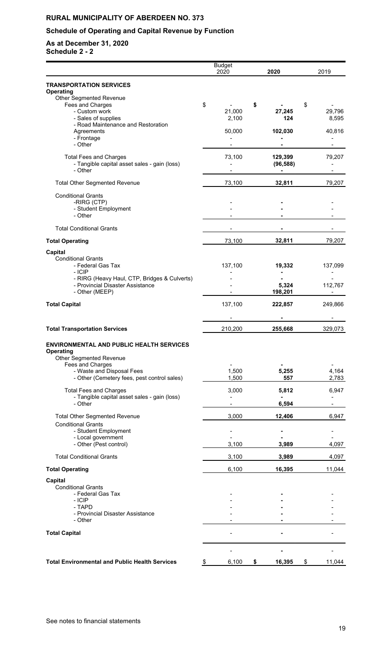# **Schedule of Operating and Capital Revenue by Function**

|                                                                               |    | <b>Budget</b><br>2020                  | 2020         | 2019                     |
|-------------------------------------------------------------------------------|----|----------------------------------------|--------------|--------------------------|
| <b>TRANSPORTATION SERVICES</b>                                                |    |                                        |              |                          |
| <b>Operating</b>                                                              |    |                                        |              |                          |
| <b>Other Segmented Revenue</b><br>Fees and Charges                            | \$ |                                        | \$           | \$                       |
| - Custom work                                                                 |    | 21,000                                 | 27,245       | 29,796                   |
| - Sales of supplies                                                           |    | 2,100                                  | 124          | 8,595                    |
| - Road Maintenance and Restoration                                            |    |                                        |              |                          |
| Agreements<br>- Frontage                                                      |    | 50,000<br>$\qquad \qquad \blacksquare$ | 102,030      | 40,816                   |
| - Other                                                                       |    |                                        |              |                          |
| <b>Total Fees and Charges</b>                                                 |    | 73,100                                 | 129,399      | 79,207                   |
| - Tangible capital asset sales - gain (loss)                                  |    |                                        | (96, 588)    |                          |
| - Other                                                                       |    |                                        |              |                          |
| <b>Total Other Segmented Revenue</b>                                          |    | 73,100                                 | 32,811       | 79,207                   |
|                                                                               |    |                                        |              |                          |
| <b>Conditional Grants</b>                                                     |    |                                        |              |                          |
| -RIRG (CTP)<br>- Student Employment                                           |    |                                        |              |                          |
| - Other                                                                       |    |                                        |              |                          |
| <b>Total Conditional Grants</b>                                               |    |                                        |              |                          |
|                                                                               |    |                                        |              |                          |
| <b>Total Operating</b>                                                        |    | 73,100                                 | 32,811       | 79,207                   |
| <b>Capital</b>                                                                |    |                                        |              |                          |
| <b>Conditional Grants</b>                                                     |    |                                        |              |                          |
| - Federal Gas Tax<br>- ICIP                                                   |    | 137,100                                | 19,332       | 137,099                  |
| - RIRG (Heavy Haul, CTP, Bridges & Culverts)                                  |    |                                        |              |                          |
| - Provincial Disaster Assistance                                              |    |                                        | 5,324        | 112,767                  |
| - Other (MEEP)                                                                |    |                                        | 198,201      | $\overline{\phantom{a}}$ |
| <b>Total Capital</b>                                                          |    | 137,100                                | 222,857      | 249,866                  |
|                                                                               |    |                                        |              |                          |
| <b>Total Transportation Services</b>                                          |    | 210,200                                | 255,668      | 329,073                  |
| <b>ENVIRONMENTAL AND PUBLIC HEALTH SERVICES</b>                               |    |                                        |              |                          |
| Operating                                                                     |    |                                        |              |                          |
| Other Segmented Revenue                                                       |    |                                        |              |                          |
| Fees and Charges<br>- Waste and Disposal Fees                                 |    | 1,500                                  | 5,255        | 4,164                    |
| - Other (Cemetery fees, pest control sales)                                   |    | 1,500                                  | 557          | 2,783                    |
|                                                                               |    |                                        |              |                          |
| <b>Total Fees and Charges</b><br>- Tangible capital asset sales - gain (loss) |    | 3,000                                  | 5,812        | 6,947                    |
| - Other                                                                       |    |                                        | 6,594        | -                        |
|                                                                               |    |                                        |              |                          |
| <b>Total Other Segmented Revenue</b><br><b>Conditional Grants</b>             |    | 3,000                                  | 12,406       | 6,947                    |
| - Student Employment                                                          |    |                                        |              |                          |
| - Local government                                                            |    |                                        |              |                          |
| - Other (Pest control)                                                        |    | 3,100                                  | 3,989        | 4,097                    |
| <b>Total Conditional Grants</b>                                               |    | 3,100                                  | 3,989        | 4,097                    |
| <b>Total Operating</b>                                                        |    | 6,100                                  | 16,395       | 11,044                   |
| <b>Capital</b>                                                                |    |                                        |              |                          |
| <b>Conditional Grants</b>                                                     |    |                                        |              |                          |
| - Federal Gas Tax                                                             |    |                                        |              |                          |
| - ICIP<br>- TAPD                                                              |    |                                        |              |                          |
| - Provincial Disaster Assistance                                              |    |                                        |              |                          |
| - Other                                                                       |    |                                        |              |                          |
| <b>Total Capital</b>                                                          |    |                                        |              |                          |
|                                                                               |    |                                        |              |                          |
|                                                                               |    |                                        |              |                          |
| <b>Total Environmental and Public Health Services</b>                         | \$ | 6,100                                  | \$<br>16,395 | \$<br>11,044             |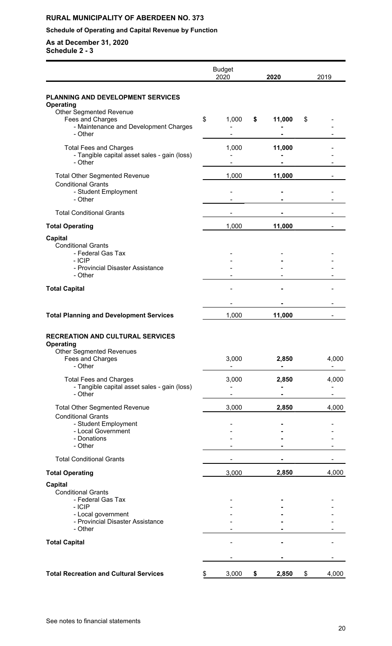# **Schedule of Operating and Capital Revenue by Function**

|                                                                                                                                                 | <b>Budget</b><br>2020             | 2020         | 2019                    |
|-------------------------------------------------------------------------------------------------------------------------------------------------|-----------------------------------|--------------|-------------------------|
| PLANNING AND DEVELOPMENT SERVICES<br><b>Operating</b>                                                                                           |                                   |              |                         |
| <b>Other Segmented Revenue</b><br>Fees and Charges<br>- Maintenance and Development Charges<br>- Other                                          | \$<br>1,000                       | \$<br>11,000 | \$                      |
| <b>Total Fees and Charges</b><br>- Tangible capital asset sales - gain (loss)<br>- Other                                                        | 1,000                             | 11,000       |                         |
| <b>Total Other Segmented Revenue</b><br><b>Conditional Grants</b><br>- Student Employment<br>- Other                                            | 1,000                             | 11,000       |                         |
| <b>Total Conditional Grants</b>                                                                                                                 |                                   |              |                         |
| <b>Total Operating</b>                                                                                                                          | 1,000                             | 11,000       |                         |
| <b>Capital</b><br><b>Conditional Grants</b><br>- Federal Gas Tax<br>- ICIP<br>- Provincial Disaster Assistance<br>- Other                       |                                   |              |                         |
| <b>Total Capital</b>                                                                                                                            |                                   |              |                         |
|                                                                                                                                                 |                                   |              |                         |
| <b>Total Planning and Development Services</b>                                                                                                  | 1,000                             | 11,000       |                         |
| <b>RECREATION AND CULTURAL SERVICES</b><br>Operating<br><b>Other Segmented Revenues</b><br>Fees and Charges<br>- Other                          | 3,000<br>$\overline{\phantom{0}}$ | 2,850<br>-   | 4,000<br>$\blacksquare$ |
| <b>Total Fees and Charges</b><br>- Tangible capital asset sales - gain (loss)<br>- Other                                                        | 3,000                             | 2,850        | 4,000                   |
| <b>Total Other Segmented Revenue</b>                                                                                                            | 3,000                             | 2,850        | 4,000                   |
| <b>Conditional Grants</b><br>- Student Employment<br>- Local Government<br>- Donations<br>- Other                                               |                                   |              |                         |
| <b>Total Conditional Grants</b>                                                                                                                 |                                   |              |                         |
| <b>Total Operating</b>                                                                                                                          | 3,000                             | 2,850        | 4,000                   |
| <b>Capital</b><br><b>Conditional Grants</b><br>- Federal Gas Tax<br>- ICIP<br>- Local government<br>- Provincial Disaster Assistance<br>- Other |                                   |              |                         |
| <b>Total Capital</b>                                                                                                                            |                                   |              |                         |
| <b>Total Recreation and Cultural Services</b>                                                                                                   | \$<br>3,000                       | \$<br>2,850  | \$<br>4,000             |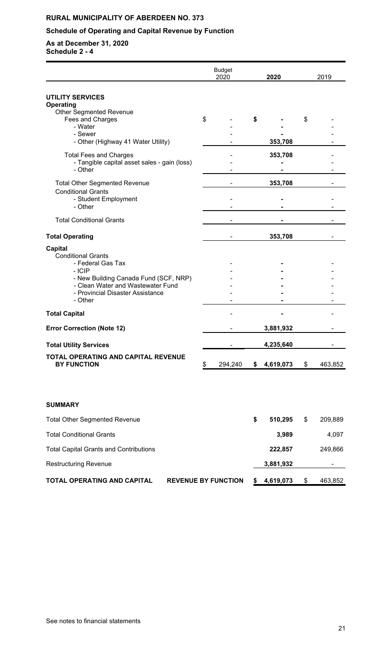# **Schedule of Operating and Capital Revenue by Function**

|                                                                       | <b>Budget</b><br>2020 | 2020            | 2019          |
|-----------------------------------------------------------------------|-----------------------|-----------------|---------------|
| <b>UTILITY SERVICES</b>                                               |                       |                 |               |
| <b>Operating</b><br><b>Other Segmented Revenue</b>                    |                       |                 |               |
| Fees and Charges                                                      | \$                    | \$              | \$            |
| - Water                                                               |                       |                 |               |
| - Sewer                                                               |                       |                 |               |
| - Other (Highway 41 Water Utility)                                    |                       | 353,708         |               |
| <b>Total Fees and Charges</b>                                         |                       | 353,708         |               |
| - Tangible capital asset sales - gain (loss)                          |                       |                 |               |
| - Other                                                               |                       |                 |               |
| <b>Total Other Segmented Revenue</b>                                  |                       | 353,708         |               |
| <b>Conditional Grants</b>                                             |                       |                 |               |
| - Student Employment                                                  |                       |                 |               |
| - Other                                                               |                       |                 |               |
| <b>Total Conditional Grants</b>                                       |                       |                 |               |
|                                                                       |                       |                 |               |
| <b>Total Operating</b>                                                |                       | 353,708         |               |
| <b>Capital</b>                                                        |                       |                 |               |
| <b>Conditional Grants</b>                                             |                       |                 |               |
| - Federal Gas Tax                                                     |                       |                 |               |
| - ICIP                                                                |                       |                 |               |
| - New Building Canada Fund (SCF, NRP)                                 |                       |                 |               |
| - Clean Water and Wastewater Fund<br>- Provincial Disaster Assistance |                       |                 |               |
| - Other                                                               |                       |                 |               |
|                                                                       |                       |                 |               |
| <b>Total Capital</b>                                                  |                       |                 |               |
| <b>Error Correction (Note 12)</b>                                     |                       | 3,881,932       |               |
|                                                                       |                       |                 |               |
| <b>Total Utility Services</b>                                         |                       | 4,235,640       |               |
| TOTAL OPERATING AND CAPITAL REVENUE                                   |                       |                 |               |
| <b>BY FUNCTION</b>                                                    | \$<br>294,240         | \$<br>4,619,073 | \$<br>463,852 |
|                                                                       |                       |                 |               |
| <b>SUMMARY</b>                                                        |                       |                 |               |
| <b>Total Other Segmented Revenue</b>                                  |                       | \$<br>510,295   | \$<br>209,889 |
| <b>Total Conditional Grants</b>                                       |                       | 3,989           | 4,097         |
| <b>Total Capital Grants and Contributions</b>                         |                       | 222,857         | 249,866       |
| <b>Restructuring Revenue</b>                                          |                       | 3,881,932       | -             |

| TOTAL OPERATING AND CAPITAL | <b>REVENUE BY FUNCTION \$4,619,073 \$463,852</b> |  |  |
|-----------------------------|--------------------------------------------------|--|--|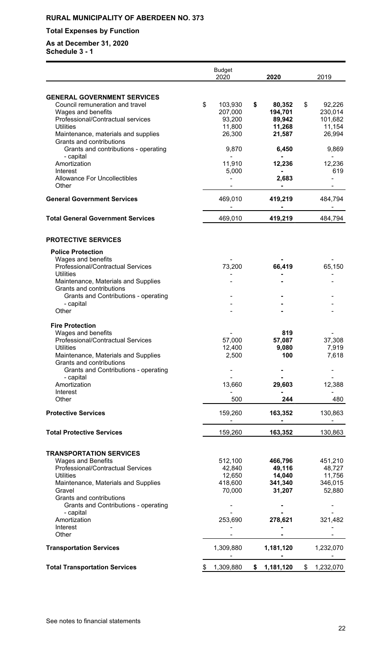# **Total Expenses by Function**

|                                                                                                                                                                                             |    | <b>Budget</b><br>2020                            | 2020                                                  | 2019                                                   |
|---------------------------------------------------------------------------------------------------------------------------------------------------------------------------------------------|----|--------------------------------------------------|-------------------------------------------------------|--------------------------------------------------------|
|                                                                                                                                                                                             |    |                                                  |                                                       |                                                        |
| <b>GENERAL GOVERNMENT SERVICES</b><br>Council remuneration and travel<br>Wages and benefits<br>Professional/Contractual services<br><b>Utilities</b><br>Maintenance, materials and supplies | \$ | 103,930<br>207,000<br>93,200<br>11,800<br>26,300 | \$<br>80,352<br>194,701<br>89,942<br>11,268<br>21,587 | \$<br>92,226<br>230,014<br>101,682<br>11,154<br>26,994 |
| Grants and contributions<br>Grants and contributions - operating<br>- capital                                                                                                               |    | 9,870                                            | 6,450                                                 | 9,869                                                  |
| Amortization<br>Interest                                                                                                                                                                    |    | 11,910                                           | 12,236                                                | 12,236<br>619                                          |
| <b>Allowance For Uncollectibles</b><br>Other                                                                                                                                                |    | 5,000                                            | 2,683                                                 |                                                        |
| <b>General Government Services</b>                                                                                                                                                          |    | 469,010                                          | 419,219                                               | 484,794                                                |
| <b>Total General Government Services</b>                                                                                                                                                    |    | 469,010                                          | 419,219                                               | 484,794                                                |
| <b>PROTECTIVE SERVICES</b>                                                                                                                                                                  |    |                                                  |                                                       |                                                        |
| <b>Police Protection</b>                                                                                                                                                                    |    |                                                  |                                                       |                                                        |
| Wages and benefits<br>Professional/Contractual Services<br><b>Utilities</b>                                                                                                                 |    | 73,200                                           | 66,419                                                | 65,150                                                 |
| Maintenance, Materials and Supplies                                                                                                                                                         |    |                                                  |                                                       |                                                        |
| Grants and contributions<br>Grants and Contributions - operating                                                                                                                            |    |                                                  |                                                       |                                                        |
| - capital<br>Other                                                                                                                                                                          |    |                                                  |                                                       |                                                        |
|                                                                                                                                                                                             |    |                                                  |                                                       |                                                        |
| <b>Fire Protection</b><br>Wages and benefits                                                                                                                                                |    |                                                  | 819                                                   |                                                        |
| Professional/Contractual Services                                                                                                                                                           |    | 57,000                                           | 57,087                                                | 37,308                                                 |
| <b>Utilities</b><br>Maintenance, Materials and Supplies                                                                                                                                     |    | 12,400<br>2,500                                  | 9,080<br>100                                          | 7,919<br>7,618                                         |
| Grants and contributions<br>Grants and Contributions - operating                                                                                                                            |    |                                                  |                                                       |                                                        |
| - capital<br>Amortization                                                                                                                                                                   |    | 13,660                                           | 29,603                                                | 12,388                                                 |
| Interest<br>Other                                                                                                                                                                           |    | 500                                              | 244                                                   | 480                                                    |
|                                                                                                                                                                                             |    |                                                  |                                                       |                                                        |
| <b>Protective Services</b>                                                                                                                                                                  |    | 159,260                                          | 163,352                                               | 130,863                                                |
| <b>Total Protective Services</b>                                                                                                                                                            |    | 159,260                                          | 163,352                                               | 130,863                                                |
| <b>TRANSPORTATION SERVICES</b>                                                                                                                                                              |    |                                                  |                                                       |                                                        |
| <b>Wages and Benefits</b>                                                                                                                                                                   |    | 512,100                                          | 466,796                                               | 451,210                                                |
| Professional/Contractual Services<br><b>Utilities</b>                                                                                                                                       |    | 42,840<br>12,650                                 | 49,116<br>14,040                                      | 48,727<br>11,756                                       |
| Maintenance, Materials and Supplies                                                                                                                                                         |    | 418,600                                          | 341,340                                               | 346,015                                                |
| Gravel                                                                                                                                                                                      |    | 70,000                                           | 31,207                                                | 52,880                                                 |
| Grants and contributions<br>Grants and Contributions - operating                                                                                                                            |    |                                                  |                                                       |                                                        |
| - capital<br>Amortization                                                                                                                                                                   |    | 253,690                                          | 278,621                                               | 321,482                                                |
| Interest                                                                                                                                                                                    |    |                                                  |                                                       |                                                        |
| Other                                                                                                                                                                                       |    |                                                  |                                                       |                                                        |
| <b>Transportation Services</b>                                                                                                                                                              |    | 1,309,880                                        | 1,181,120                                             | 1,232,070                                              |
| <b>Total Transportation Services</b>                                                                                                                                                        | S. | 1,309,880                                        | \$<br>1,181,120                                       | \$<br>1,232,070                                        |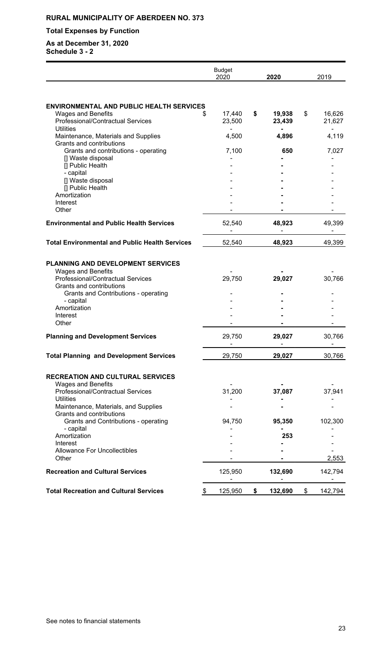# **Total Expenses by Function**

|                                                                                                                         | <b>Budget</b><br>2020 | 2020                   | 2019 |                  |  |
|-------------------------------------------------------------------------------------------------------------------------|-----------------------|------------------------|------|------------------|--|
|                                                                                                                         |                       |                        |      |                  |  |
| <b>ENVIRONMENTAL AND PUBLIC HEALTH SERVICES</b><br><b>Wages and Benefits</b><br>£.<br>Professional/Contractual Services | 17,440<br>23,500      | \$<br>19,938<br>23,439 | \$   | 16,626<br>21,627 |  |
| <b>Utilities</b><br>Maintenance, Materials and Supplies                                                                 | 4,500                 | 4,896                  |      | 4,119            |  |
| Grants and contributions<br>Grants and contributions - operating<br>[] Waste disposal                                   | 7,100                 | 650                    |      | 7,027            |  |
| [] Public Health                                                                                                        |                       |                        |      |                  |  |
| - capital<br>[] Waste disposal                                                                                          |                       |                        |      |                  |  |
| [] Public Health<br>Amortization                                                                                        |                       |                        |      |                  |  |
| Interest                                                                                                                |                       |                        |      |                  |  |
| Other                                                                                                                   |                       |                        |      |                  |  |
| <b>Environmental and Public Health Services</b>                                                                         | 52,540                | 48,923                 |      | 49,399           |  |
| <b>Total Environmental and Public Health Services</b>                                                                   | 52,540                | 48,923                 |      | 49,399           |  |
| <b>PLANNING AND DEVELOPMENT SERVICES</b>                                                                                |                       |                        |      |                  |  |
| <b>Wages and Benefits</b>                                                                                               |                       |                        |      |                  |  |
| Professional/Contractual Services<br>Grants and contributions                                                           | 29,750                | 29,027                 |      | 30,766           |  |
| Grants and Contributions - operating<br>- capital                                                                       |                       |                        |      |                  |  |
| Amortization                                                                                                            |                       |                        |      |                  |  |
| Interest<br>Other                                                                                                       |                       |                        |      |                  |  |
| <b>Planning and Development Services</b>                                                                                | 29,750                | 29,027                 |      | 30,766           |  |
|                                                                                                                         |                       |                        |      |                  |  |
| <b>Total Planning and Development Services</b>                                                                          | 29,750                | 29,027                 |      | 30,766           |  |
| <b>RECREATION AND CULTURAL SERVICES</b>                                                                                 |                       |                        |      |                  |  |
| <b>Wages and Benefits</b><br>Professional/Contractual Services                                                          | 31,200                | 37,087                 |      | 37,941           |  |
| <b>Utilities</b><br>Maintenance, Materials, and Supplies                                                                |                       |                        |      |                  |  |
| Grants and contributions<br>Grants and Contributions - operating<br>- capital                                           | 94,750                | 95,350                 |      | 102,300          |  |
| Amortization                                                                                                            |                       | 253                    |      |                  |  |
| Interest<br><b>Allowance For Uncollectibles</b>                                                                         |                       |                        |      |                  |  |
| Other                                                                                                                   |                       |                        |      | 2,553            |  |
| <b>Recreation and Cultural Services</b>                                                                                 | 125,950               | 132,690                |      | 142,794          |  |
| <b>Total Recreation and Cultural Services</b><br>\$                                                                     | 125,950               | \$<br>132,690          | \$   | 142,794          |  |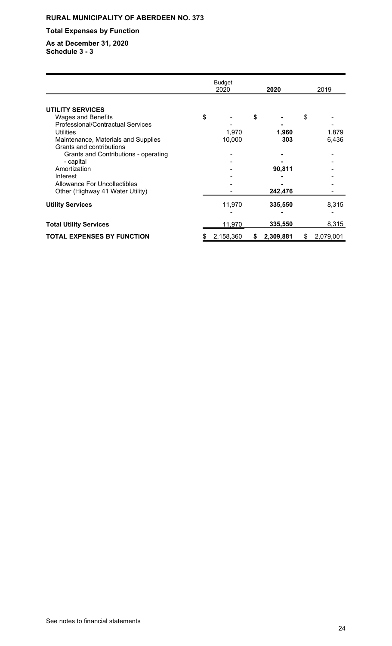# **Total Expenses by Function**

|                                      | <b>Budget</b><br>2020 | 2020            | 2019            |
|--------------------------------------|-----------------------|-----------------|-----------------|
|                                      |                       |                 |                 |
| <b>UTILITY SERVICES</b>              |                       |                 |                 |
| <b>Wages and Benefits</b>            | \$                    | \$              | \$              |
| Professional/Contractual Services    |                       |                 |                 |
| Utilities                            | 1,970                 | 1,960           | 1,879           |
| Maintenance, Materials and Supplies  | 10,000                | 303             | 6,436           |
| Grants and contributions             |                       |                 |                 |
| Grants and Contributions - operating |                       |                 |                 |
| - capital                            |                       |                 |                 |
| Amortization                         |                       | 90,811          |                 |
| Interest                             |                       |                 |                 |
| <b>Allowance For Uncollectibles</b>  |                       |                 |                 |
| Other (Highway 41 Water Utility)     |                       | 242,476         |                 |
| <b>Utility Services</b>              | 11,970                | 335,550         | 8,315           |
|                                      |                       |                 |                 |
| <b>Total Utility Services</b>        | 11,970                | 335,550         | 8,315           |
| <b>TOTAL EXPENSES BY FUNCTION</b>    | \$<br>2,158,360       | \$<br>2,309,881 | \$<br>2,079,001 |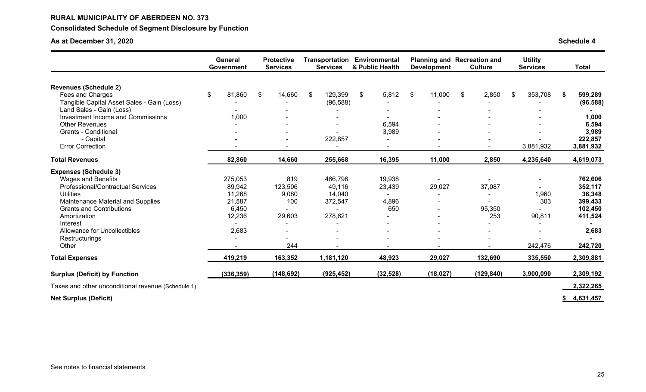# **Consolidated Schedule of Segment Disclosure by Function**

|                                                    | <b>General</b><br><b>Government</b> | <b>Protective</b><br><b>Services</b> | <b>Transportation</b><br><b>Services</b> | Environmental<br>& Public Health | <b>Development</b> | <b>Planning and Recreation and</b><br><b>Culture</b> | <b>Utility</b><br><b>Services</b> | <b>Total</b>  |
|----------------------------------------------------|-------------------------------------|--------------------------------------|------------------------------------------|----------------------------------|--------------------|------------------------------------------------------|-----------------------------------|---------------|
|                                                    |                                     |                                      |                                          |                                  |                    |                                                      |                                   |               |
| <b>Revenues (Schedule 2)</b><br>Fees and Charges   | \$<br>81,860                        | $\frac{1}{2}$<br>14,660              | 129,399<br>\$                            | \$<br>5,812                      | 11,000<br>\$       | 2,850<br>\$                                          | $\$\$<br>353,708                  | 599,289<br>S. |
| Tangible Capital Asset Sales - Gain (Loss)         |                                     |                                      | (96, 588)                                |                                  |                    |                                                      |                                   | (96, 588)     |
| Land Sales - Gain (Loss)                           |                                     |                                      |                                          |                                  |                    |                                                      |                                   |               |
| <b>Investment Income and Commissions</b>           | 1,000                               |                                      |                                          |                                  |                    |                                                      |                                   | 1,000         |
| <b>Other Revenues</b>                              |                                     |                                      |                                          | 6,594                            |                    |                                                      |                                   | 6,594         |
| <b>Grants - Conditional</b>                        |                                     |                                      |                                          | 3,989                            |                    |                                                      |                                   | 3,989         |
| - Capital                                          |                                     |                                      | 222,857                                  |                                  |                    |                                                      |                                   | 222,857       |
| <b>Error Correction</b>                            | $\blacksquare$                      | $\overline{\phantom{a}}$             |                                          | $\overline{\phantom{a}}$         | ۰                  | $\blacksquare$                                       | 3,881,932                         | 3,881,932     |
|                                                    |                                     |                                      |                                          |                                  |                    |                                                      |                                   |               |
| <b>Total Revenues</b>                              | 82,860                              | 14,660                               | 255,668                                  | 16,395                           | 11,000             | 2,850                                                | 4,235,640                         | 4,619,073     |
| <b>Expenses (Schedule 3)</b>                       |                                     |                                      |                                          |                                  |                    |                                                      |                                   |               |
| <b>Wages and Benefits</b>                          | 275,053                             | 819                                  | 466,796                                  | 19,938                           |                    |                                                      |                                   | 762,606       |
| Professional/Contractual Services                  | 89,942                              | 123,506                              | 49,116                                   | 23,439                           | 29,027             | 37,087                                               |                                   | 352,117       |
| <b>Utilities</b>                                   | 11,268                              | 9,080                                | 14,040                                   |                                  |                    |                                                      | 1,960                             | 36,348        |
| Maintenance Material and Supplies                  | 21,587                              | 100                                  | 372,547                                  | 4,896                            |                    |                                                      | 303                               | 399,433       |
| <b>Grants and Contributions</b>                    | 6,450                               |                                      |                                          | 650                              |                    | 95,350                                               |                                   | 102,450       |
| Amortization                                       | 12,236                              | 29,603                               | 278,621                                  |                                  |                    | 253                                                  | 90,811                            | 411,524       |
| Interest                                           |                                     |                                      |                                          |                                  |                    |                                                      |                                   |               |
| Allowance for Uncollectibles                       | 2,683                               |                                      |                                          |                                  |                    |                                                      |                                   | 2,683         |
| Restructurings                                     |                                     |                                      |                                          |                                  |                    |                                                      |                                   |               |
| Other                                              |                                     | 244                                  |                                          |                                  |                    |                                                      | 242,476                           | 242,720       |
| <b>Total Expenses</b>                              | 419,219                             | 163,352                              | 1,181,120                                | 48,923                           | 29,027             | 132,690                                              | 335,550                           | 2,309,881     |
| <b>Surplus (Deficit) by Function</b>               | (336, 359)                          | (148, 692)                           | (925, 452)                               | (32, 528)                        | (18, 027)          | (129, 840)                                           | 3,900,090                         | 2,309,192     |
| Taxes and other unconditional revenue (Schedule 1) |                                     |                                      |                                          |                                  |                    |                                                      |                                   | 2,322,265     |
| <b>Net Surplus (Deficit)</b>                       |                                     |                                      |                                          |                                  |                    |                                                      |                                   | 4.631.457     |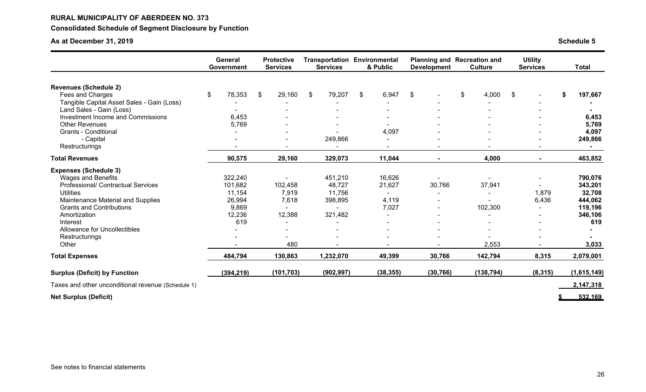# **Consolidated Schedule of Segment Disclosure by Function**

## **As at December 31, 2019 Schedule 5**

|                                                    | <b>General</b><br>Government | <b>Protective</b><br><b>Services</b> | <b>Services</b> | <b>Transportation Environmental</b><br>& Public | <b>Development</b>       | <b>Planning and Recreation and</b><br><b>Culture</b> | <b>Utility</b><br><b>Services</b> | <b>Total</b>  |
|----------------------------------------------------|------------------------------|--------------------------------------|-----------------|-------------------------------------------------|--------------------------|------------------------------------------------------|-----------------------------------|---------------|
| <b>Revenues (Schedule 2)</b>                       |                              |                                      |                 |                                                 |                          |                                                      |                                   |               |
| Fees and Charges                                   | \$<br>78,353                 | $\mathfrak{P}$<br>29,160             | \$<br>79,207    | \$<br>6,947                                     | \$<br>$\overline{a}$     | $\mathfrak{F}$<br>4,000                              | \$                                | 197,667<br>\$ |
| Tangible Capital Asset Sales - Gain (Loss)         |                              |                                      |                 |                                                 |                          |                                                      |                                   |               |
| Land Sales - Gain (Loss)                           |                              |                                      |                 |                                                 |                          |                                                      |                                   |               |
| Investment Income and Commissions                  | 6,453                        |                                      |                 |                                                 |                          |                                                      |                                   | 6,453         |
| <b>Other Revenues</b>                              | 5,769                        |                                      |                 |                                                 |                          |                                                      |                                   | 5,769         |
| <b>Grants - Conditional</b>                        |                              |                                      |                 | 4,097                                           |                          |                                                      |                                   | 4,097         |
| - Capital                                          | $\overline{\phantom{0}}$     |                                      | 249,866         |                                                 |                          |                                                      |                                   | 249,866       |
| Restructurings                                     |                              |                                      |                 |                                                 | $\overline{\phantom{0}}$ |                                                      |                                   |               |
| <b>Total Revenues</b>                              | 90,575                       | 29,160                               | 329,073         | 11,044                                          |                          | 4,000                                                |                                   | 463,852       |
| <b>Expenses (Schedule 3)</b>                       |                              |                                      |                 |                                                 |                          |                                                      |                                   |               |
| <b>Wages and Benefits</b>                          | 322,240                      |                                      | 451,210         | 16,626                                          |                          |                                                      |                                   | 790,076       |
| Professional/ Contractual Services                 | 101,682                      | 102,458                              | 48,727          | 21,627                                          | 30,766                   | 37,941                                               |                                   | 343,201       |
| <b>Utilities</b>                                   | 11,154                       | 7,919                                | 11,756          | $\blacksquare$                                  |                          |                                                      | 1,879                             | 32,708        |
| Maintenance Material and Supplies                  | 26,994                       | 7,618                                | 398,895         | 4,119                                           |                          |                                                      | 6,436                             | 444,062       |
| <b>Grants and Contributions</b>                    | 9,869                        |                                      |                 | 7,027                                           |                          | 102,300                                              |                                   | 119,196       |
| Amortization                                       | 12,236                       | 12,388                               | 321,482         |                                                 |                          |                                                      |                                   | 346,106       |
| Interest                                           | 619                          |                                      |                 | $\overline{\phantom{0}}$                        |                          |                                                      |                                   | 619           |
| Allowance for Uncollectibles                       |                              |                                      |                 |                                                 |                          |                                                      |                                   |               |
| Restructurings                                     |                              |                                      |                 |                                                 |                          |                                                      |                                   |               |
| Other                                              |                              | 480                                  |                 |                                                 |                          | 2,553                                                |                                   | 3,033         |
| <b>Total Expenses</b>                              | 484,794                      | 130,863                              | 1,232,070       | 49,399                                          | 30,766                   | 142,794                                              | 8,315                             | 2,079,001     |
| <b>Surplus (Deficit) by Function</b>               | (394, 219)                   | (101, 703)                           | (902, 997)      | (38, 355)                                       | (30, 766)                | (138, 794)                                           | (8, 315)                          | (1,615,149)   |
| Taxes and other unconditional revenue (Schedule 1) |                              |                                      |                 |                                                 |                          |                                                      |                                   | 2,147,318     |
| <b>Net Surplus (Deficit)</b>                       |                              |                                      |                 |                                                 |                          |                                                      |                                   | 532.169       |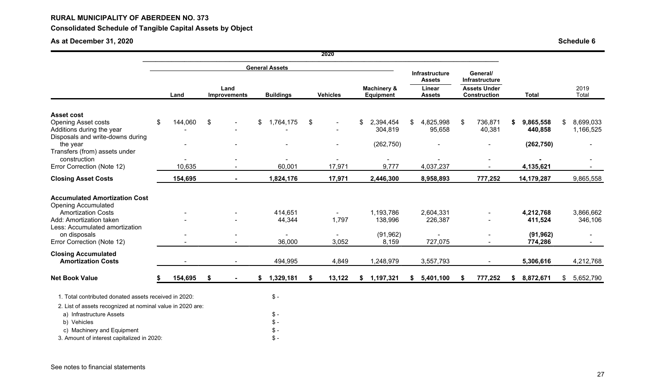# **Consolidated Schedule of Tangible Capital Assets by Object**

|                                                                                             |      |         |                             |                |                       |                 | 2020   |                                            |                         |                                                            |                      |                                                                          |                   |              |                      |                              |
|---------------------------------------------------------------------------------------------|------|---------|-----------------------------|----------------|-----------------------|-----------------|--------|--------------------------------------------|-------------------------|------------------------------------------------------------|----------------------|--------------------------------------------------------------------------|-------------------|--------------|----------------------|------------------------------|
|                                                                                             |      |         |                             |                | <b>General Assets</b> |                 |        |                                            |                         | Infrastructure<br><b>Assets</b><br>Linear<br><b>Assets</b> |                      | General/<br>Infrastructure<br><b>Assets Under</b><br><b>Construction</b> |                   |              |                      |                              |
|                                                                                             | Land |         | Land<br><b>Improvements</b> |                | <b>Buildings</b>      | <b>Vehicles</b> |        | <b>Machinery &amp;</b><br><b>Equipment</b> |                         |                                                            |                      |                                                                          |                   | <b>Total</b> |                      | 2019<br>Total                |
| <b>Asset cost</b>                                                                           |      |         |                             |                |                       |                 |        |                                            |                         |                                                            |                      |                                                                          |                   |              |                      |                              |
| <b>Opening Asset costs</b><br>Additions during the year<br>Disposals and write-downs during | \$   | 144,060 | \$                          |                | \$<br>1,764,175       | \$              |        | \$                                         | 2,394,454<br>304,819    | \$                                                         | 4,825,998<br>95,658  | \$                                                                       | 736,871<br>40,381 | \$           | 9,865,558<br>440,858 | \$<br>8,699,033<br>1,166,525 |
| the year<br>Transfers (from) assets under                                                   |      |         |                             |                |                       |                 |        |                                            | (262, 750)              |                                                            |                      |                                                                          | $\blacksquare$    |              | (262, 750)           |                              |
| construction<br>Error Correction (Note 12)                                                  |      | 10,635  |                             |                | 60,001                |                 | 17,971 |                                            | $\blacksquare$<br>9,777 |                                                            | 4,037,237            |                                                                          |                   |              | 4,135,621            |                              |
| <b>Closing Asset Costs</b>                                                                  |      | 154,695 |                             |                | 1,824,176             |                 | 17,971 |                                            | 2,446,300               |                                                            | 8,958,893            |                                                                          | 777,252           |              | 14,179,287           | 9,865,558                    |
| <b>Accumulated Amortization Cost</b><br><b>Opening Accumulated</b>                          |      |         |                             |                |                       |                 |        |                                            |                         |                                                            |                      |                                                                          |                   |              |                      |                              |
| <b>Amortization Costs</b><br>Add: Amortization taken                                        |      |         |                             |                | 414,651<br>44,344     |                 | 1,797  |                                            | 1,193,786<br>138,996    |                                                            | 2,604,331<br>226,387 |                                                                          |                   |              | 4,212,768<br>411,524 | 3,866,662<br>346,106         |
| Less: Accumulated amortization                                                              |      |         |                             |                |                       |                 |        |                                            |                         |                                                            |                      |                                                                          |                   |              |                      |                              |
| on disposals<br>Error Correction (Note 12)                                                  |      |         |                             |                | 36,000                |                 | 3,052  |                                            | (91, 962)<br>8,159      |                                                            | 727,075              |                                                                          | $\blacksquare$    |              | (91, 962)<br>774,286 | $\sim$                       |
| <b>Closing Accumulated</b><br><b>Amortization Costs</b>                                     |      |         |                             | $\blacksquare$ | 494,995               |                 | 4,849  |                                            | 1,248,979               |                                                            | 3,557,793            |                                                                          |                   |              | 5,306,616            | 4,212,768                    |
| <b>Net Book Value</b>                                                                       |      | 154,695 | \$                          |                | 1,329,181<br>\$       | \$              | 13,122 | \$                                         | 1,197,321               | \$                                                         | 5,401,100            | \$                                                                       | 777,252           | \$           | 8,872,671            | \$5,652,790                  |
| 1. Total contributed donated assets received in 2020:                                       |      |         |                             |                | $\frac{1}{2}$         |                 |        |                                            |                         |                                                            |                      |                                                                          |                   |              |                      |                              |
| 2. List of assets recognized at nominal value in 2020 are:<br>a) Infrastructure Assets      |      |         |                             |                | $\frac{2}{3}$ -       |                 |        |                                            |                         |                                                            |                      |                                                                          |                   |              |                      |                              |
| b) Vehicles                                                                                 |      |         |                             |                | $\frac{1}{2}$         |                 |        |                                            |                         |                                                            |                      |                                                                          |                   |              |                      |                              |
| c) Machinery and Equipment                                                                  |      |         |                             |                | \$-                   |                 |        |                                            |                         |                                                            |                      |                                                                          |                   |              |                      |                              |
| 3. Amount of interest capitalized in 2020:                                                  |      |         |                             |                | $$ -$                 |                 |        |                                            |                         |                                                            |                      |                                                                          |                   |              |                      |                              |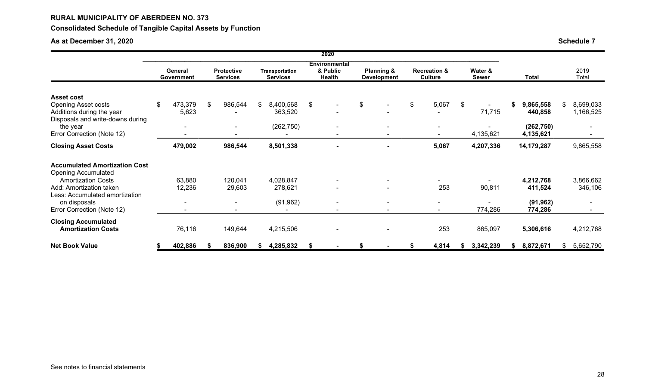# **Consolidated Schedule of Tangible Capital Assets by Function**

|                                                                                                                                                                                                            |                                          |                                      |     |                                    |    | 2020                                              |                                             |                                                             |                           |    |                                                 |                              |
|------------------------------------------------------------------------------------------------------------------------------------------------------------------------------------------------------------|------------------------------------------|--------------------------------------|-----|------------------------------------|----|---------------------------------------------------|---------------------------------------------|-------------------------------------------------------------|---------------------------|----|-------------------------------------------------|------------------------------|
|                                                                                                                                                                                                            | General<br><b>Government</b>             | <b>Protective</b><br><b>Services</b> |     | Transportation<br><b>Services</b>  |    | <b>Environmental</b><br>& Public<br><b>Health</b> | <b>Planning &amp;</b><br><b>Development</b> | <b>Recreation &amp;</b><br>Culture                          | Water &<br><b>Sewer</b>   |    | <b>Total</b>                                    | 2019<br>Total                |
| <b>Asset cost</b><br><b>Opening Asset costs</b><br>Additions during the year<br>Disposals and write-downs during<br>the year<br>Error Correction (Note 12)                                                 | \$<br>473,379<br>5,623<br>$\blacksquare$ | \$<br>986,544<br>$\blacksquare$      | \$. | 8,400,568<br>363,520<br>(262, 750) | \$ |                                                   | \$                                          | \$<br>5,067<br>$\blacksquare$                               | \$<br>71,715<br>4,135,621 | \$ | 9,865,558<br>440,858<br>(262, 750)<br>4,135,621 | \$<br>8,699,033<br>1,166,525 |
| <b>Closing Asset Costs</b>                                                                                                                                                                                 | 479,002                                  | 986,544                              |     | 8,501,338                          |    |                                                   | $\blacksquare$                              | 5,067                                                       | 4,207,336                 |    | 14,179,287                                      | 9,865,558                    |
| <b>Accumulated Amortization Cost</b><br><b>Opening Accumulated</b><br><b>Amortization Costs</b><br>Add: Amortization taken<br>Less: Accumulated amortization<br>on disposals<br>Error Correction (Note 12) | 63,880<br>12,236                         | 120,041<br>29,603                    |     | 4,028,847<br>278,621<br>(91, 962)  |    |                                                   |                                             | Ξ.<br>253<br>$\blacksquare$<br>$\qquad \qquad \blacksquare$ | 90,811<br>774,286         |    | 4,212,768<br>411,524<br>(91, 962)<br>774,286    | 3,866,662<br>346,106         |
| <b>Closing Accumulated</b><br><b>Amortization Costs</b>                                                                                                                                                    | 76,116                                   | 149,644                              |     | 4,215,506                          |    |                                                   |                                             | 253                                                         | 865,097                   |    | 5,306,616                                       | 4,212,768                    |
| <b>Net Book Value</b>                                                                                                                                                                                      | 402,886                                  | 836,900                              |     | 4,285,832                          | S  |                                                   |                                             | 4,814                                                       | 3,342,239                 | S. | 8,872,671                                       | \$<br>5,652,790              |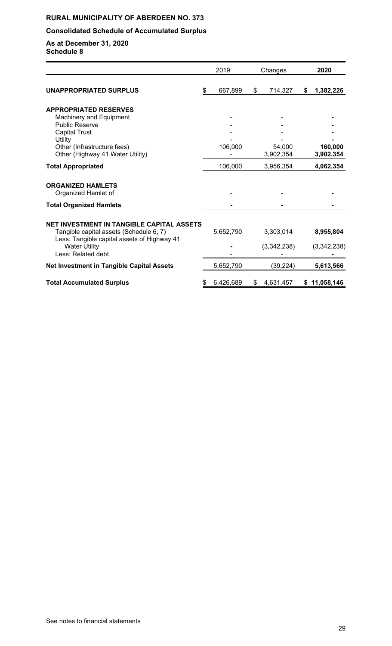# **Consolidated Schedule of Accumulated Surplus**

|                                                                                                                                                                                               | 2019            | Changes                  | 2020                     |
|-----------------------------------------------------------------------------------------------------------------------------------------------------------------------------------------------|-----------------|--------------------------|--------------------------|
| <b>UNAPPROPRIATED SURPLUS</b>                                                                                                                                                                 | \$<br>667,899   | \$<br>714,327            | \$<br>1,382,226          |
| <b>APPROPRIATED RESERVES</b><br>Machinery and Equipment<br><b>Public Reserve</b><br><b>Capital Trust</b><br><b>Utility</b><br>Other (Infrastructure fees)<br>Other (Highway 41 Water Utility) | 106,000         | 54,000<br>3,902,354      | 160,000<br>3,902,354     |
| <b>Total Appropriated</b>                                                                                                                                                                     | 106,000         | 3,956,354                | 4,062,354                |
| <b>ORGANIZED HAMLETS</b><br>Organized Hamlet of                                                                                                                                               |                 |                          |                          |
| <b>Total Organized Hamlets</b>                                                                                                                                                                |                 |                          |                          |
| <b>NET INVESTMENT IN TANGIBLE CAPITAL ASSETS</b><br>Tangible capital assets (Schedule 6, 7)<br>Less: Tangible capital assets of Highway 41<br><b>Water Utility</b><br>Less: Related debt      | 5,652,790       | 3,303,014<br>(3,342,238) | 8,955,804<br>(3,342,238) |
| <b>Net Investment in Tangible Capital Assets</b>                                                                                                                                              | 5,652,790       | (39, 224)                | 5,613,566                |
| <b>Total Accumulated Surplus</b>                                                                                                                                                              | \$<br>6,426,689 | \$<br>4,631,457          | \$11,058,146             |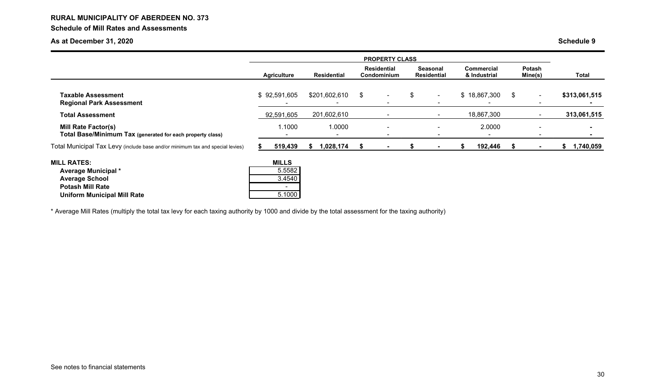## **RURAL MUNICIPALITY OF ABERDEEN NO. 373 Schedule of Mill Rates and Assessments**

## **As at December 31, 2020 Schedule 9**

|                                                                                                                                     | <b>PROPERTY CLASS</b>                      |                    |                                   |                                          |                                   |                   |               |  |
|-------------------------------------------------------------------------------------------------------------------------------------|--------------------------------------------|--------------------|-----------------------------------|------------------------------------------|-----------------------------------|-------------------|---------------|--|
|                                                                                                                                     | <b>Agriculture</b>                         | <b>Residential</b> | <b>Residential</b><br>Condominium | <b>Seasonal</b><br><b>Residential</b>    | <b>Commercial</b><br>& Industrial | Potash<br>Mine(s) | Total         |  |
| <b>Taxable Assessment</b><br><b>Regional Park Assessment</b>                                                                        | \$92,591,605                               | \$201,602,610      | \$<br>$\blacksquare$<br>$\,$      | \$<br>$\sim$<br>$\overline{\phantom{a}}$ | \$18,867,300                      | \$<br>$\sim$      | \$313,061,515 |  |
| <b>Total Assessment</b>                                                                                                             | 92,591,605                                 | 201,602,610        |                                   |                                          | 18,867,300                        |                   | 313,061,515   |  |
| <b>Mill Rate Factor(s)</b><br>Total Base/Minimum Tax (generated for each property class)                                            | 1.1000                                     | 1.0000             | $\sim$<br>۰                       | $\overline{\phantom{a}}$                 | 2.0000<br>$\,$ $\,$               |                   |               |  |
| Total Municipal Tax Levy (include base and/or minimum tax and special levies)                                                       | 519,439                                    | 1,028,174<br>SS.   | $\blacksquare$                    | $\blacksquare$                           | 192,446<br>S                      | P.<br>$\sim$      | 1,740,059     |  |
| <b>MILL RATES:</b><br>Average Municipal *<br><b>Average School</b><br><b>Potash Mill Rate</b><br><b>Uniform Municipal Mill Rate</b> | <b>MILLS</b><br>5.5582<br>3.4540<br>5.1000 |                    |                                   |                                          |                                   |                   |               |  |

\* Average Mill Rates (multiply the total tax levy for each taxing authority by 1000 and divide by the total assessment for the taxing authority)